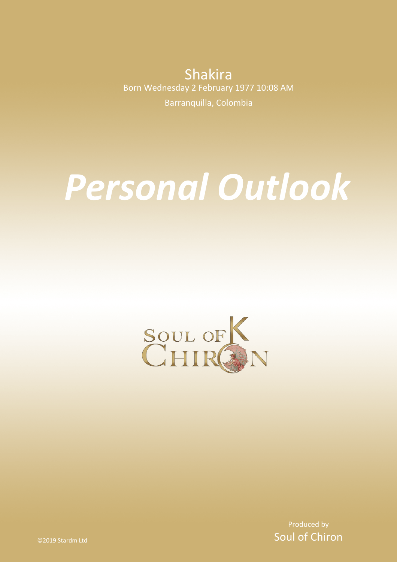Shakira Born Wednesday 2 February 1977 10:08 AM Barranquilla, Colombia

# *Personal Outlook*



Produced by Soul of Chiron

©2019 Stardm Ltd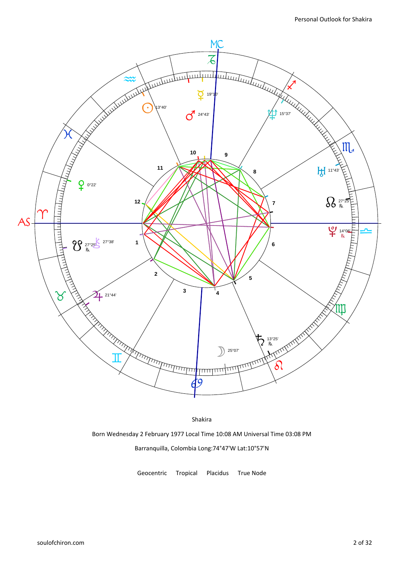

Shakira

Born Wednesday 2 February 1977 Local Time 10:08 AM Universal Time 03:08 PM

Barranquilla, Colombia Long:74°47'W Lat:10°57'N

Geocentric Tropical Placidus True Node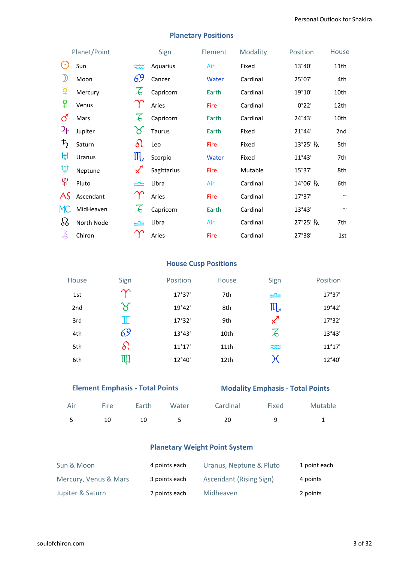#### $\overline{P}$  $\overline{Q}$  Mercury  $\overline{A}$  Capricorn Earth  $\odot$  $\zeta$ House 11th Position Sun Moon  $69$  Cancer and Aquarius Air Fixed 13°40' Aries Capricorn Taurus Leo Scorpio Sagittarius Libra Aries **H** 5th 2nd  $\frac{1}{2}$  Saturn  $\delta$  Leo Fire Fixed 13°25'  $\hat{\mathbf{\Psi}}$  $\cancel{\mathfrak{L}}$  $AS$ MC  $III<sub>4</sub>$  $\chi^4$ يميا  $\Upsilon$  $\overline{6}$ 11°43'  $\mathcal{D}$  $\vec{c}$  $\overline{4}$ 69  $\overline{A}$  $\Upsilon$  $\overline{\mathcal{L}}$  $\mathcal{R}$ 25°07' 19°10' 0°22' 24°43' 21°44' 4th 10th 12th 10th 15°37' 14°06' R 17°37' 13°43' 7th 8th 6th Planet/Point Sign Mercury Venus Mars Jupiter Saturn Uranus Neptune Pluto Ascendant MidHeaven  $\sim$ Capricorn **Earth** Cardinal 13°43' ~  $\frac{1}{2}$  Libra Air Cardinal 27°25' R 7th 13°25' R Chiron  $\Upsilon$  Aries 27°25' R 27°38' 1st Air Fire Earth Water Fire Earth Water Fire Air Fire Earth Air Fire Element Fixed Fixed Fixed Cardinal Cardinal Cardinal Cardinal Fixed Mutable Cardinal Cardinal Cardinal Cardinal Cardinal Modality

### **Planetary Positions**

### **House Cusp Positions**

| <b>House</b>    | Sign          | <b>Position</b> | House            | Sign           | Position        |
|-----------------|---------------|-----------------|------------------|----------------|-----------------|
| 1st             | $\bm{\gamma}$ | 17°37'          | 7th              | ≏              | 17°37'          |
| 2 <sub>nd</sub> | $\aleph$      | 19°42'          | 8th              | $\mathfrak{m}$ | 19°42'          |
| 3rd             | $\mathbb T$   | 17°32'          | 9th              |                | 17°32'          |
| 4th             | 69            | 13°43'          | 10th             | 石              | 13°43'          |
| 5th             | 81            | $11^{\circ}17'$ | 11th             | $\approx$      | $11^{\circ}17'$ |
| 6th             | ЩI            | $12^{\circ}40'$ | 12 <sub>th</sub> | χ              | 12°40'          |

|  | <b>Element Emphasis - Total Points</b> |
|--|----------------------------------------|
|--|----------------------------------------|

### **Modality Emphasis - Total Points**

|      |    |    |          | Air Fire Earth Water Cardinal Fixed Mutable |   |  |
|------|----|----|----------|---------------------------------------------|---|--|
| $-5$ | 10 | 10 | $\sim$ 5 | -20                                         | Q |  |

### **Planetary Weight Point System**

| Sun & Moon            | 4 points each | Uranus, Neptune & Pluto        | 1 point each |
|-----------------------|---------------|--------------------------------|--------------|
| Mercury, Venus & Mars | 3 points each | <b>Ascendant (Rising Sign)</b> | 4 points     |
| Jupiter & Saturn      | 2 points each | Midheaven                      | 2 points     |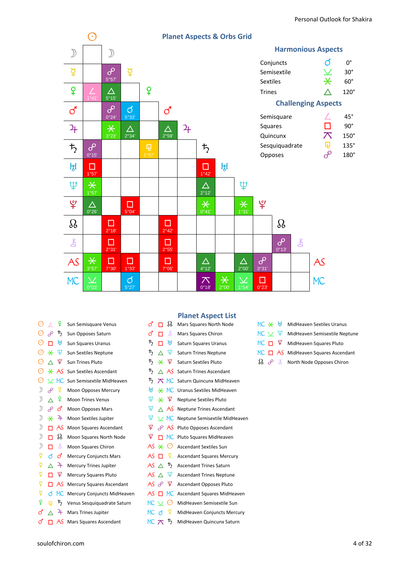

| $_{\odot}$                                                                                                   |          | ¥            | Sun Semisquare Venus          |
|--------------------------------------------------------------------------------------------------------------|----------|--------------|-------------------------------|
| ⊙                                                                                                            | $\sigma$ | ち            | Sun Opposes Saturn            |
| $_{\odot}$                                                                                                   | п        | ਸ਼੍ਰਮ        | Sun Squares Uranus            |
| $_{\odot}$                                                                                                   | $\star$  | Ψ            | Sun Sextiles Neptune          |
| $_{\odot}$                                                                                                   | $\wedge$ | ¥            | <b>Sun Trines Pluto</b>       |
| $_{\odot}$                                                                                                   |          | $\times$ AS  | Sun Sextiles Ascendant        |
| $_{\odot}$                                                                                                   |          | $\vee$ MC    | Sun Semisextile MidHeaven     |
| $\mathcal{D}$                                                                                                | ൙        | ¥            | Moon Opposes Mercury          |
| $\mathcal{D}$                                                                                                | $\wedge$ | ¥            | <b>Moon Trines Venus</b>      |
| $\mathcal{D}$                                                                                                | $\sigma$ | ර            | <b>Moon Opposes Mars</b>      |
| $\mathcal{D}$                                                                                                | $\star$  | 4            | Moon Sextiles Jupiter         |
| $\mathcal{D}% _{T}=\mathcal{D}_{T}\!\left( a,b\right) ,\mathcal{D}_{T}=\mathcal{D}_{T}\!\left( a,b\right) ,$ | п        | AS           | Moon Squares Ascendant        |
| $\mathcal{D}$                                                                                                | п        | ß.           | Moon Squares North Node       |
| $\mathcal{D}$                                                                                                | □        | Ľ            | Moon Squares Chiron           |
| ¥                                                                                                            | đ        | ර'           | <b>Mercury Conjuncts Mars</b> |
| ¥                                                                                                            | Λ        | $\mathbf{a}$ | <b>Mercury Trines Jupiter</b> |
| ₽                                                                                                            | п        | ¥            | Mercury Squares Pluto         |
| ₽                                                                                                            | п        | AS           | Mercury Squares Ascendant     |
| ₫                                                                                                            | ൪        | МC           | Mercury Conjuncts MidHeaven   |
| ¥                                                                                                            | 卬        | ち            | Venus Sesquiquadrate Saturn   |
| ර                                                                                                            | Λ        | ֏⊦           | Mars Trines Jupiter           |
| ්                                                                                                            |          | AS           | Mars Squares Ascendant        |

### **Planet Aspect List**

| ஃ<br>ර<br>п                     | Mars Squares North Node          |
|---------------------------------|----------------------------------|
| ර<br>飞                          | Mars Squares Chiron              |
| ҍ,<br>Щ<br>п                    | <b>Saturn Squares Uranus</b>     |
| $\bm{\bar{5}}$<br>Ψ<br>$\wedge$ | <b>Saturn Trines Neptune</b>     |
| $\bm{\tau}_{2}$<br>¥ ¥          | Saturn Sextiles Pluto            |
| ᡏ<br>-AS                        | <b>Saturn Trines Ascendant</b>   |
| $\bm{\bar{5}}$<br>$\pi$ MC      | Saturn Quincunx MidHeaven        |
| ਸ਼੍ਰ<br>$\times$ MC             | <b>Uranus Sextiles MidHeaven</b> |
| Ψ<br><b>* ぁ</b>                 | <b>Neptune Sextiles Pluto</b>    |
| Ψ<br>$\wedge$ AS                | <b>Neptune Trines Ascendant</b>  |
| Ψ<br>$\times$ MC                | Neptune Semisextile MidHeaven    |
| ೪<br>P AS                       | Pluto Opposes Ascendant          |
| ¥<br>МC                         | Pluto Squares MidHeaven          |
| AS $\ast \odot$                 | <b>Ascendant Sextiles Sun</b>    |
| ୍ୟୁ<br>AS n                     | <b>Ascendant Squares Mercury</b> |
| AS $\triangle$ $\frac{1}{2}$    | <b>Ascendant Trines Saturn</b>   |
| Ψ<br>AS $\land$                 | <b>Ascendant Trines Neptune</b>  |
| ーンキ<br>AS P                     | <b>Ascendant Opposes Pluto</b>   |
| <b>MC</b><br>AS<br>- m          | Ascendant Squares MidHeaven      |
| ⊙<br>$MC \vee C$                | MidHeaven Semisextile Sun        |
| ₫<br>MC Q                       | MidHeaven Conjuncts Mercury      |
| $\mathcal{L}_{2}$<br>MC $\pi$   | MidHeaven Quincunx Saturn        |

|  | $MC \times W$ MidHeaven Sextiles Uranus                        |
|--|----------------------------------------------------------------|
|  | $MC \vee \Psi$ MidHeaven Semisextile Neptune                   |
|  | MC D \ \ MidHeaven Squares Pluto                               |
|  | $MC \Box AS$ MidHeaven Squares Ascendant                       |
|  | $\Omega$ $\mathcal{S}$ $\mathcal{S}$ North Node Opposes Chiron |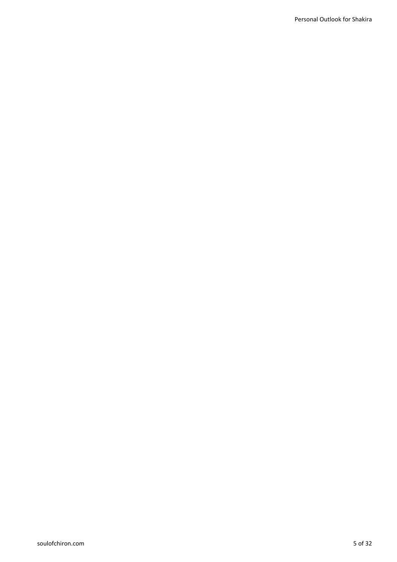Personal Outlook for Shakira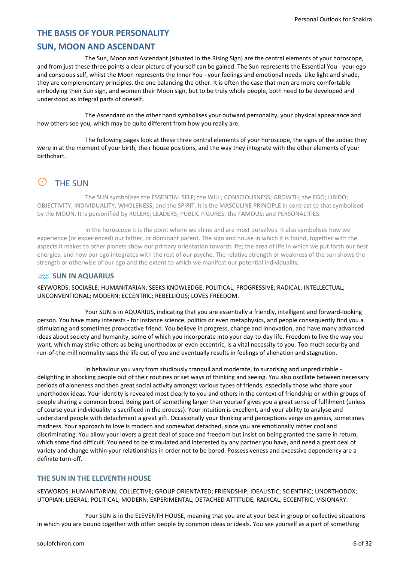### **THE BASIS OF YOUR PERSONALITY**

### **SUN, MOON AND ASCENDANT**

The Sun, Moon and Ascendant (situated in the Rising Sign) are the central elements of your horoscope, and from just these three points a clear picture of yourself can be gained. The Sun represents the Essential You - your ego and conscious self, whilst the Moon represents the Inner You - your feelings and emotional needs. Like light and shade, they are complementary principles, the one balancing the other. It is often the case that men are more comfortable embodying their Sun sign, and women their Moon sign, but to be truly whole people, both need to be developed and understood as integral parts of oneself.

The Ascendant on the other hand symbolises your outward personality, your physical appearance and how others see you, which may be quite different from how you really are.

The following pages look at these three central elements of your horoscope, the signs of the zodiac they were in at the moment of your birth, their house positions, and the way they integrate with the other elements of your birthchart.

#### $\odot$ THE SUN

The SUN symbolises the ESSENTIAL SELF; the WILL; CONSCIOUSNESS; GROWTH; the EGO; LIBIDO; OBJECTIVITY; INDIVIDUALITY; WHOLENESS; and the SPIRIT. It is the MASCULINE PRINCIPLE in contrast to that symbolised by the MOON. It is personified by RULERS; LEADERS; PUBLIC FIGURES; the FAMOUS; and PERSONALITIES.

In the horoscope it is the point where we shine and are most ourselves. It also symbolises how we experience (or experienced) our father, or dominant parent. The sign and house in which it is found, together with the aspects it makes to other planets show our primary orientation towards life; the area of life in which we put forth our best energies; and how our ego integrates with the rest of our psyche. The relative strength or weakness of the sun shows the strength or otherwise of our ego and the extent to which we manifest our potential individuality.

### **SUN IN AQUARIUS**

KEYWORDS: SOCIABLE; HUMANITARIAN; SEEKS KNOWLEDGE; POLITICAL; PROGRESSIVE; RADICAL; INTELLECTUAL; UNCONVENTIONAL; MODERN; ECCENTRIC; REBELLIOUS; LOVES FREEDOM.

Your SUN is in AQUARIUS, indicating that you are essentially a friendly, intelligent and forward-looking person. You have many interests - for instance science, politics or even metaphysics, and people consequently find you a stimulating and sometimes provocative friend. You believe in progress, change and innovation, and have many advanced ideas about society and humanity, some of which you incorporate into your day-to-day life. Freedom to live the way you want, which may strike others as being unorthodox or even eccentric, is a vital necessity to you. Too much security and run-of-the-mill normality saps the life out of you and eventually results in feelings of alienation and stagnation.

In behaviour you vary from studiously tranquil and moderate, to surprising and unpredictable delighting in shocking people out of their routines or set ways of thinking and seeing. You also oscillate between necessary periods of aloneness and then great social activity amongst various types of friends, especially those who share your unorthodox ideas. Your identity is revealed most clearly to you and others in the context of friendship or within groups of people sharing a common bond. Being part of something larger than yourself gives you a great sense of fulfilment (unless of course your individuality is sacrificed in the process). Your intuition is excellent, and your ability to analyse and understand people with detachment a great gift. Occasionally your thinking and perceptions verge on genius, sometimes madness. Your approach to love is modern and somewhat detached, since you are emotionally rather cool and discriminating. You allow your lovers a great deal of space and freedom but insist on being granted the same in return, which some find difficult. You need to be stimulated and interested by any partner you have, and need a great deal of variety and change within your relationships in order not to be bored. Possessiveness and excessive dependency are a definite turn-off.

### **THE SUN IN THE ELEVENTH HOUSE**

KEYWORDS: HUMANITARIAN; COLLECTIVE; GROUP ORIENTATED; FRIENDSHIP; IDEALISTIC; SCIENTIFIC; UNORTHODOX; UTOPIAN; LIBERAL; POLITICAL; MODERN; EXPERIMENTAL; DETACHED ATTITUDE; RADICAL; ECCENTRIC; VISIONARY.

Your SUN is in the ELEVENTH HOUSE, meaning that you are at your best in group or collective situations in which you are bound together with other people by common ideas or ideals. You see yourself as a part of something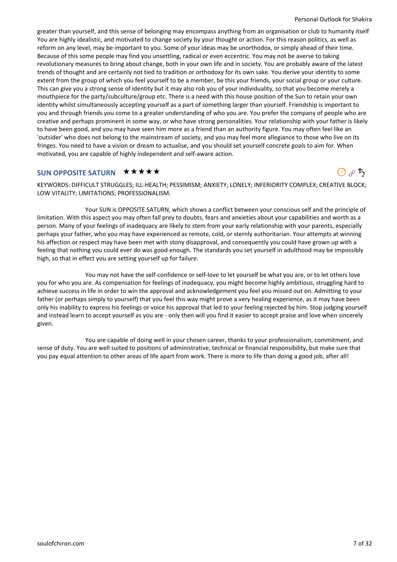greater than yourself, and this sense of belonging may encompass anything from an organisation or club to humanity itself. You are highly idealistic, and motivated to change society by your thought or action. For this reason politics, as well as reform on any level, may be important to you. Some of your ideas may be unorthodox, or simply ahead of their time. Because of this some people may find you unsettling, radical or even eccentric. You may not be averse to taking revolutionary measures to bring about change, both in your own life and in society. You are probably aware of the latest trends of thought and are certainly not tied to tradition or orthodoxy for its own sake. You derive your identity to some extent from the group of which you feel yourself to be a member, be this your friends, your social group or your culture. This can give you a strong sense of identity but it may also rob you of your individuality, so that you become merely a mouthpiece for the party/subculture/group etc. There is a need with this house position of the Sun to retain your own identity whilst simultaneously accepting yourself as a part of something larger than yourself. Friendship is important to you and through friends you come to a greater understanding of who you are. You prefer the company of people who are creative and perhaps prominent in some way, or who have strong personalities. Your relationship with your father is likely to have been good, and you may have seen him more as a friend than an authority figure. You may often feel like an 'outsider' who does not belong to the mainstream of society, and you may feel more allegiance to those who live on its fringes. You need to have a vision or dream to actualise, and you should set yourself concrete goals to aim for. When motivated, you are capable of highly independent and self-aware action.

### SUN OPPOSITE SATURN ★ ★ ★ ★ ★

 $\bigcap$  a  $\uparrow$ 

KEYWORDS: DIFFICULT STRUGGLES; ILL-HEALTH; PESSIMISM; ANXIETY; LONELY; INFERIORITY COMPLEX; CREATIVE BLOCK; LOW VITALITY; LIMITATIONS; PROFESSIONALISM.

Your SUN is OPPOSITE SATURN, which shows a conflict between your conscious self and the principle of limitation. With this aspect you may often fall prey to doubts, fears and anxieties about your capabilities and worth as a person. Many of your feelings of inadequacy are likely to stem from your early relationship with your parents, especially perhaps your father, who you may have experienced as remote, cold, or sternly authoritarian. Your attempts at winning his affection or respect may have been met with stony disapproval, and consequently you could have grown up with a feeling that nothing you could ever do was good enough. The standards you set yourself in adulthood may be impossibly high, so that in effect you are setting yourself up for failure.

You may not have the self-confidence or self-love to let yourself be what you are, or to let others love you for who you are. As compensation for feelings of inadequacy, you might become highly ambitious, struggling hard to achieve success in life in order to win the approval and acknowledgement you feel you missed out on. Admitting to your father (or perhaps simply to yourself) that you feel this way might prove a very healing experience, as it may have been only his inability to express his feelings or voice his approval that led to your feeling rejected by him. Stop judging yourself and instead learn to accept yourself as you are - only then will you find it easier to accept praise and love when sincerely given.

You are capable of doing well in your chosen career, thanks to your professionalism, commitment, and sense of duty. You are well suited to positions of administrative, technical or financial responsibility, but make sure that you pay equal attention to other areas of life apart from work. There is more to life than doing a good job, after all!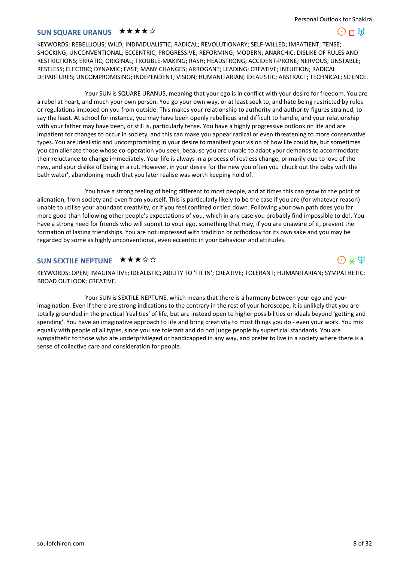$\odot$  o  $\rm{H}$ 

 $\Theta * \Psi$ 

### **SUN SQUARE URANUS** ★★★★☆

KEYWORDS: REBELLIOUS; WILD; INDIVIDUALISTIC; RADICAL; REVOLUTIONARY; SELF-WILLED; IMPATIENT; TENSE; SHOCKING; UNCONVENTIONAL; ECCENTRIC; PROGRESSIVE; REFORMING; MODERN; ANARCHIC; DISLIKE OF RULES AND RESTRICTIONS; ERRATIC; ORIGINAL; TROUBLE-MAKING; RASH; HEADSTRONG; ACCIDENT-PRONE; NERVOUS; UNSTABLE; RESTLESS; ELECTRIC; DYNAMIC; FAST; MANY CHANGES; ARROGANT; LEADING; CREATIVE; INTUITION; RADICAL DEPARTURES; UNCOMPROMISING; INDEPENDENT; VISION; HUMANITARIAN; IDEALISTIC; ABSTRACT; TECHNICAL; SCIENCE.

Your SUN is SQUARE URANUS, meaning that your ego is in conflict with your desire for freedom. You are a rebel at heart, and much your own person. You go your own way, or at least seek to, and hate being restricted by rules or regulations imposed on you from outside. This makes your relationship to authority and authority-figures strained, to say the least. At school for instance, you may have been openly rebellious and difficult to handle, and your relationship with your father may have been, or still is, particularly tense. You have a highly progressive outlook on life and are impatient for changes to occur in society, and this can make you appear radical or even threatening to more conservative types. You are idealistic and uncompromising in your desire to manifest your vision of how life could be, but sometimes you can alienate those whose co-operation you seek, because you are unable to adapt your demands to accommodate their reluctance to change immediately. Your life is always in a process of restless change, primarily due to love of the new, and your dislike of being in a rut. However, in your desire for the new you often you 'chuck out the baby with the bath water', abandoning much that you later realise was worth keeping hold of.

You have a strong feeling of being different to most people, and at times this can grow to the point of alienation, from society and even from yourself. This is particularly likely to be the case if you are (for whatever reason) unable to utilise your abundant creativity, or if you feel confined or tied down. Following your own path does you far more good than following other people's expectations of you, which in any case you probably find impossible to do!. You have a strong need for friends who will submit to your ego, something that may, if you are unaware of it, prevent the formation of lasting friendships. You are not impressed with tradition or orthodoxy for its own sake and you may be regarded by some as highly unconventional, even eccentric in your behaviour and attitudes.

### **SUN SEXTILE NEPTUNE** ★★★☆☆

KEYWORDS: OPEN; IMAGINATIVE; IDEALISTIC; ABILITY TO 'FIT IN'; CREATIVE; TOLERANT; HUMANITARIAN; SYMPATHETIC; BROAD OUTLOOK; CREATIVE.

Your SUN is SEXTILE NEPTUNE, which means that there is a harmony between your ego and your imagination. Even if there are strong indications to the contrary in the rest of your horoscope, it is unlikely that you are totally grounded in the practical 'realities' of life, but are instead open to higher possibilities or ideals beyond 'getting and spending'. You have an imaginative approach to life and bring creativity to most things you do - even your work. You mix equally with people of all types, since you are tolerant and do not judge people by superficial standards. You are sympathetic to those who are underprivileged or handicapped in any way, and prefer to live in a society where there is a sense of collective care and consideration for people.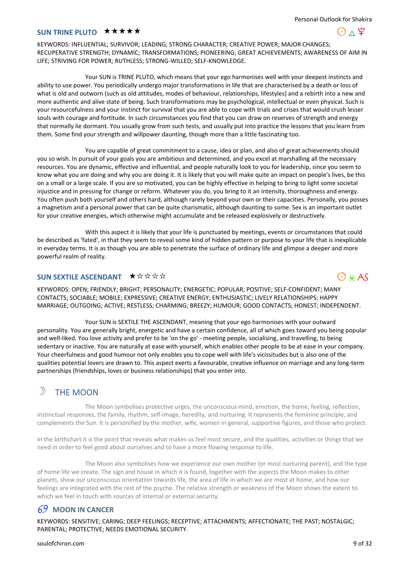$\bigcirc$   $\land$   $\mathfrak{P}$ 

### **SUN TRINE PLUTO** aaaaa

KEYWORDS: INFLUENTIAL; SURVIVOR; LEADING; STRONG CHARACTER; CREATIVE POWER; MAJOR CHANGES; RECUPERATIVE STRENGTH; DYNAMIC; TRANSFORMATIONS; PIONEERING; GREAT ACHIEVEMENTS; AWARENESS OF AIM IN LIFE; STRIVING FOR POWER; RUTHLESS; STRONG-WILLED; SELF-KNOWLEDGE.

Your SUN is TRINE PLUTO, which means that your ego harmonises well with your deepest instincts and ability to use power. You periodically undergo major transformations in life that are characterised by a death or loss of what is old and outworn (such as old attitudes, modes of behaviour, relationships, lifestyles) and a rebirth into a new and more authentic and alive state of being. Such transformations may be psychological, intellectual or even physical. Such is your resourcefulness and your instinct for survival that you are able to cope with trials and crises that would crush lesser souls with courage and fortitude. In such circumstances you find that you can draw on reserves of strength and energy that normally lie dormant. You usually grow from such tests, and usually put into practice the lessons that you learn from them. Some find your strength and willpower daunting, though more than a little fascinating too.

You are capable of great commitment to a cause, idea or plan, and also of great achievements should you so wish. In pursuit of your goals you are ambitious and determined, and you excel at marshalling all the necessary resources. You are dynamic, effective and influential, and people naturally look to you for leadership, since you seem to know what you are doing and why you are doing it. It is likely that you will make quite an impact on people's lives, be this on a small or a large scale. If you are so motivated, you can be highly effective in helping to bring to light some societal injustice and in pressing for change or reform. Whatever you do, you bring to it an intensity, thoroughness and energy. You often push both yourself and others hard, although rarely beyond your own or their capacities. Personally, you posses a magnetism and a personal power that can be quite charismatic, although daunting to some. Sex is an important outlet for your creative energies, which otherwise might accumulate and be released explosively or destructively.

With this aspect it is likely that your life is punctuated by meetings, events or circumstances that could be described as 'fated', in that they seem to reveal some kind of hidden pattern or purpose to your life that is inexplicable in everyday terms. It is as though you are able to penetrate the surface of ordinary life and glimpse a deeper and more powerful realm of reality.

### **SUN SEXTILE ASCENDANT** ★☆☆☆☆

 $Q \times AS$ 

KEYWORDS: OPEN; FRIENDLY; BRIGHT; PERSONALITY; ENERGETIC; POPULAR; POSITIVE; SELF-CONFIDENT; MANY CONTACTS; SOCIABLE; MOBILE; EXPRESSIVE; CREATIVE ENERGY; ENTHUSIASTIC; LIVELY RELATIONSHIPS; HAPPY MARRIAGE; OUTGOING; ACTIVE; RESTLESS; CHARMING; BREEZY; HUMOUR; GOOD CONTACTS; HONEST; INDEPENDENT.

Your SUN is SEXTILE THE ASCENDANT, meaning that your ego harmonises with your outward personality. You are generally bright, energetic and have a certain confidence, all of which goes toward you being popular and well-liked. You love activity and prefer to be 'on the go' - meeting people, socialising, and travelling, to being sedentary or inactive. You are naturally at ease with yourself, which enables other people to be at ease in your company. Your cheerfulness and good humour not only enables you to cope well with life's vicissitudes but is also one of the qualities potential lovers are drawn to. This aspect exerts a favourable, creative influence on marriage and any long-term partnerships (friendships, loves or business relationships) that you enter into.

#### $\mathcal{L}$ THE MOON

The Moon symbolises protective urges, the unconscious mind, emotion, the home, feeling, reflection, instinctual responses, the family, rhythm, self-image, heredity, and nurturing. It represents the feminine principle, and complements the Sun. It is personified by the mother, wife, women in general, supportive figures, and those who protect.

In the birthchart it is the point that reveals what makes us feel most secure, and the qualities, activities or things that we need in order to feel good about ourselves and to have a more flowing response to life.

The Moon also symbolises how we experience our own mother (or most nurturing parent), and the type of home life we create. The sign and house in which it is found, together with the aspects the Moon makes to other planets, show our unconscious orientation towards life, the area of life in which we are most at home, and how our feelings are integrated with the rest of the psyche. The relative strength or weakness of the Moon shows the extent to which we feel in touch with sources of internal or external security.

# 69 MOON IN CANCER

KEYWORDS: SENSITIVE; CARING; DEEP FEELINGS; RECEPTIVE; ATTACHMENTS; AFFECTIONATE; THE PAST; NOSTALGIC; PARENTAL; PROTECTIVE; NEEDS EMOTIONAL SECURITY.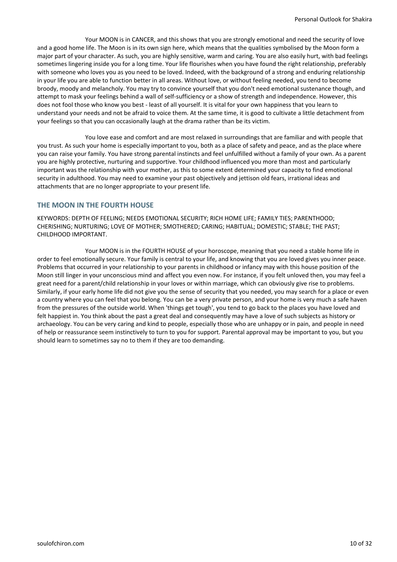Your MOON is in CANCER, and this shows that you are strongly emotional and need the security of love and a good home life. The Moon is in its own sign here, which means that the qualities symbolised by the Moon form a major part of your character. As such, you are highly sensitive, warm and caring. You are also easily hurt, with bad feelings sometimes lingering inside you for a long time. Your life flourishes when you have found the right relationship, preferably with someone who loves you as you need to be loved. Indeed, with the background of a strong and enduring relationship in your life you are able to function better in all areas. Without love, or without feeling needed, you tend to become broody, moody and melancholy. You may try to convince yourself that you don't need emotional sustenance though, and attempt to mask your feelings behind a wall of self-sufficiency or a show of strength and independence. However, this does not fool those who know you best - least of all yourself. It is vital for your own happiness that you learn to understand your needs and not be afraid to voice them. At the same time, it is good to cultivate a little detachment from your feelings so that you can occasionally laugh at the drama rather than be its victim.

You love ease and comfort and are most relaxed in surroundings that are familiar and with people that you trust. As such your home is especially important to you, both as a place of safety and peace, and as the place where you can raise your family. You have strong parental instincts and feel unfulfilled without a family of your own. As a parent you are highly protective, nurturing and supportive. Your childhood influenced you more than most and particularly important was the relationship with your mother, as this to some extent determined your capacity to find emotional security in adulthood. You may need to examine your past objectively and jettison old fears, irrational ideas and attachments that are no longer appropriate to your present life.

### **THE MOON IN THE FOURTH HOUSE**

KEYWORDS: DEPTH OF FEELING; NEEDS EMOTIONAL SECURITY; RICH HOME LIFE; FAMILY TIES; PARENTHOOD; CHERISHING; NURTURING; LOVE OF MOTHER; SMOTHERED; CARING; HABITUAL; DOMESTIC; STABLE; THE PAST; CHILDHOOD IMPORTANT.

Your MOON is in the FOURTH HOUSE of your horoscope, meaning that you need a stable home life in order to feel emotionally secure. Your family is central to your life, and knowing that you are loved gives you inner peace. Problems that occurred in your relationship to your parents in childhood or infancy may with this house position of the Moon still linger in your unconscious mind and affect you even now. For instance, if you felt unloved then, you may feel a great need for a parent/child relationship in your loves or within marriage, which can obviously give rise to problems. Similarly, if your early home life did not give you the sense of security that you needed, you may search for a place or even a country where you can feel that you belong. You can be a very private person, and your home is very much a safe haven from the pressures of the outside world. When 'things get tough', you tend to go back to the places you have loved and felt happiest in. You think about the past a great deal and consequently may have a love of such subjects as history or archaeology. You can be very caring and kind to people, especially those who are unhappy or in pain, and people in need of help or reassurance seem instinctively to turn to you for support. Parental approval may be important to you, but you should learn to sometimes say no to them if they are too demanding.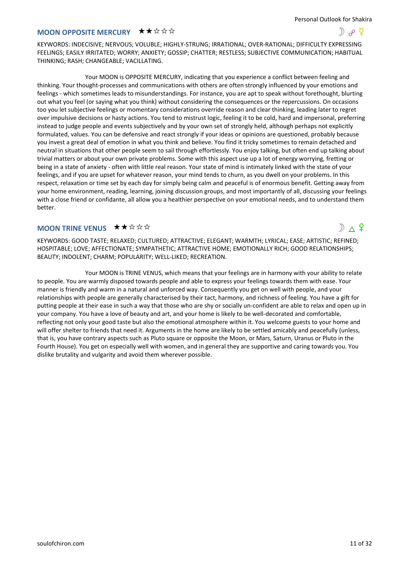$\mathfrak{D}$  مہ ((

 $D \wedge 9$ 

### **MOON OPPOSITE MERCURY ★★☆☆☆**

KEYWORDS: INDECISIVE; NERVOUS; VOLUBLE; HIGHLY-STRUNG; IRRATIONAL; OVER-RATIONAL; DIFFICULTY EXPRESSING FEELINGS; EASILY IRRITATED; WORRY; ANXIETY; GOSSIP; CHATTER; RESTLESS; SUBJECTIVE COMMUNICATION; HABITUAL THINKING; RASH; CHANGEABLE; VACILLATING.

Your MOON is OPPOSITE MERCURY, indicating that you experience a conflict between feeling and thinking. Your thought-processes and communications with others are often strongly influenced by your emotions and feelings - which sometimes leads to misunderstandings. For instance, you are apt to speak without forethought, blurting out what you feel (or saying what you think) without considering the consequences or the repercussions. On occasions too you let subjective feelings or momentary considerations override reason and clear thinking, leading later to regret over impulsive decisions or hasty actions. You tend to mistrust logic, feeling it to be cold, hard and impersonal, preferring instead to judge people and events subjectively and by your own set of strongly held, although perhaps not explicitly formulated, values. You can be defensive and react strongly if your ideas or opinions are questioned, probably because you invest a great deal of emotion in what you think and believe. You find it tricky sometimes to remain detached and neutral in situations that other people seem to sail through effortlessly. You enjoy talking, but often end up talking about trivial matters or about your own private problems. Some with this aspect use up a lot of energy worrying, fretting or being in a state of anxiety - often with little real reason. Your state of mind is intimately linked with the state of your feelings, and if you are upset for whatever reason, your mind tends to churn, as you dwell on your problems. In this respect, relaxation or time set by each day for simply being calm and peaceful is of enormous benefit. Getting away from your home environment, reading, learning, joining discussion groups, and most importantly of all, discussing your feelings with a close friend or confidante, all allow you a healthier perspective on your emotional needs, and to understand them better.

### **MOON TRINE VENUS** ★★☆☆☆

KEYWORDS: GOOD TASTE; RELAXED; CULTURED; ATTRACTIVE; ELEGANT; WARMTH; LYRICAL; EASE; ARTISTIC; REFINED; HOSPITABLE; LOVE; AFFECTIONATE; SYMPATHETIC; ATTRACTIVE HOME; EMOTIONALLY RICH; GOOD RELATIONSHIPS; BEAUTY; INDOLENT; CHARM; POPULARITY; WELL-LIKED; RECREATION.

Your MOON is TRINE VENUS, which means that your feelings are in harmony with your ability to relate to people. You are warmly disposed towards people and able to express your feelings towards them with ease. Your manner is friendly and warm in a natural and unforced way. Consequently you get on well with people, and your relationships with people are generally characterised by their tact, harmony, and richness of feeling. You have a gift for putting people at their ease in such a way that those who are shy or socially un-confident are able to relax and open up in your company. You have a love of beauty and art, and your home is likely to be well-decorated and comfortable, reflecting not only your good taste but also the emotional atmosphere within it. You welcome guests to your home and will offer shelter to friends that need it. Arguments in the home are likely to be settled amicably and peacefully (unless, that is, you have contrary aspects such as Pluto square or opposite the Moon, or Mars, Saturn, Uranus or Pluto in the Fourth House). You get on especially well with women, and in general they are supportive and caring towards you. You dislike brutality and vulgarity and avoid them wherever possible.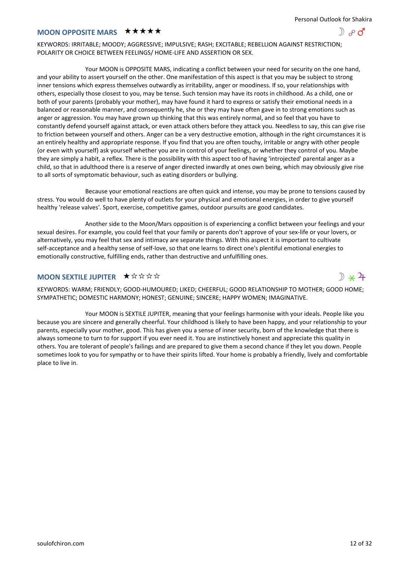$\mathbb D$  of  $\sigma$ 

### **MOON OPPOSITE MARS** ★★★★★

KEYWORDS: IRRITABLE; MOODY; AGGRESSIVE; IMPULSIVE; RASH; EXCITABLE; REBELLION AGAINST RESTRICTION; POLARITY OR CHOICE BETWEEN FEELINGS/ HOME-LIFE AND ASSERTION OR SEX.

Your MOON is OPPOSITE MARS, indicating a conflict between your need for security on the one hand, and your ability to assert yourself on the other. One manifestation of this aspect is that you may be subject to strong inner tensions which express themselves outwardly as irritability, anger or moodiness. If so, your relationships with others, especially those closest to you, may be tense. Such tension may have its roots in childhood. As a child, one or both of your parents (probably your mother), may have found it hard to express or satisfy their emotional needs in a balanced or reasonable manner, and consequently he, she or they may have often gave in to strong emotions such as anger or aggression. You may have grown up thinking that this was entirely normal, and so feel that you have to constantly defend yourself against attack, or even attack others before they attack you. Needless to say, this can give rise to friction between yourself and others. Anger can be a very destructive emotion, although in the right circumstances it is an entirely healthy and appropriate response. If you find that you are often touchy, irritable or angry with other people (or even with yourself) ask yourself whether you are in control of your feelings, or whether they control of you. Maybe they are simply a habit, a reflex. There is the possibility with this aspect too of having 'introjected' parental anger as a child, so that in adulthood there is a reserve of anger directed inwardly at ones own being, which may obviously give rise to all sorts of symptomatic behaviour, such as eating disorders or bullying.

Because your emotional reactions are often quick and intense, you may be prone to tensions caused by stress. You would do well to have plenty of outlets for your physical and emotional energies, in order to give yourself healthy 'release valves'. Sport, exercise, competitive games, outdoor pursuits are good candidates.

Another side to the Moon/Mars opposition is of experiencing a conflict between your feelings and your sexual desires. For example, you could feel that your family or parents don't approve of your sex-life or your lovers, or alternatively, you may feel that sex and intimacy are separate things. With this aspect it is important to cultivate self-acceptance and a healthy sense of self-love, so that one learns to direct one's plentiful emotional energies to emotionally constructive, fulfilling ends, rather than destructive and unfulfilling ones.

### **MOON SEXTILE JUPITER** ★☆☆☆☆

 $\mathbb{D} \times 4$ 

KEYWORDS: WARM; FRIENDLY; GOOD-HUMOURED; LIKED; CHEERFUL; GOOD RELATIONSHIP TO MOTHER; GOOD HOME; SYMPATHETIC; DOMESTIC HARMONY; HONEST; GENUINE; SINCERE; HAPPY WOMEN; IMAGINATIVE.

Your MOON is SEXTILE JUPITER, meaning that your feelings harmonise with your ideals. People like you because you are sincere and generally cheerful. Your childhood is likely to have been happy, and your relationship to your parents, especially your mother, good. This has given you a sense of inner security, born of the knowledge that there is always someone to turn to for support if you ever need it. You are instinctively honest and appreciate this quality in others. You are tolerant of people's failings and are prepared to give them a second chance if they let you down. People sometimes look to you for sympathy or to have their spirits lifted. Your home is probably a friendly, lively and comfortable place to live in.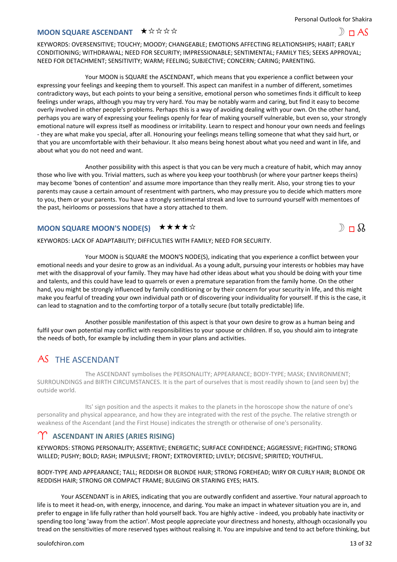$\mathbb{D}$   $\Box$  AS

 $D \cap R$ 

### **MOON SQUARE ASCENDANT** ★☆☆☆☆

KEYWORDS: OVERSENSITIVE; TOUCHY; MOODY; CHANGEABLE; EMOTIONS AFFECTING RELATIONSHIPS; HABIT; EARLY CONDITIONING; WITHDRAWAL; NEED FOR SECURITY; IMPRESSIONABLE; SENTIMENTAL; FAMILY TIES; SEEKS APPROVAL; NEED FOR DETACHMENT; SENSITIVITY; WARM; FEELING; SUBJECTIVE; CONCERN; CARING; PARENTING.

Your MOON is SQUARE the ASCENDANT, which means that you experience a conflict between your expressing your feelings and keeping them to yourself. This aspect can manifest in a number of different, sometimes contradictory ways, but each points to your being a sensitive, emotional person who sometimes finds it difficult to keep feelings under wraps, although you may try very hard. You may be notably warm and caring, but find it easy to become overly involved in other people's problems. Perhaps this is a way of avoiding dealing with your own. On the other hand, perhaps you are wary of expressing your feelings openly for fear of making yourself vulnerable, but even so, your strongly emotional nature will express itself as moodiness or irritability. Learn to respect and honour your own needs and feelings - they are what make you special, after all. Honouring your feelings means telling someone that what they said hurt, or that you are uncomfortable with their behaviour. It also means being honest about what you need and want in life, and about what you do not need and want.

Another possibility with this aspect is that you can be very much a creature of habit, which may annoy those who live with you. Trivial matters, such as where you keep your toothbrush (or where your partner keeps theirs) may become 'bones of contention' and assume more importance than they really merit. Also, your strong ties to your parents may cause a certain amount of resentment with partners, who may pressure you to decide which matters more to you, them or your parents. You have a strongly sentimental streak and love to surround yourself with mementoes of the past, heirlooms or possessions that have a story attached to them.

### **MOON SQUARE MOON'S NODE(S)** ★★★★☆

KEYWORDS: LACK OF ADAPTABILITY; DIFFICULTIES WITH FAMILY; NEED FOR SECURITY.

Your MOON is SQUARE the MOON'S NODE(S), indicating that you experience a conflict between your emotional needs and your desire to grow as an individual. As a young adult, pursuing your interests or hobbies may have met with the disapproval of your family. They may have had other ideas about what you should be doing with your time and talents, and this could have lead to quarrels or even a premature separation from the family home. On the other hand, you might be strongly influenced by family conditioning or by their concern for your security in life, and this might make you fearful of treading your own individual path or of discovering your individuality for yourself. If this is the case, it can lead to stagnation and to the comforting torpor of a totally secure (but totally predictable) life.

Another possible manifestation of this aspect is that your own desire to grow as a human being and fulfil your own potential may conflict with responsibilities to your spouse or children. If so, you should aim to integrate the needs of both, for example by including them in your plans and activities.

# AS THE ASCENDANT

The ASCENDANT symbolises the PERSONALITY; APPEARANCE; BODY-TYPE; MASK; ENVIRONMENT; SURROUNDINGS and BIRTH CIRCUMSTANCES. It is the part of ourselves that is most readily shown to (and seen by) the outside world.

Its' sign position and the aspects it makes to the planets in the horoscope show the nature of one's personality and physical appearance, and how they are integrated with the rest of the psyche. The relative strength or weakness of the Ascendant (and the First House) indicates the strength or otherwise of one's personality.

# **T** ASCENDANT IN ARIES (ARIES RISING)

KEYWORDS: STRONG PERSONALITY; ASSERTIVE; ENERGETIC; SURFACE CONFIDENCE; AGGRESSIVE; FIGHTING; STRONG WILLED; PUSHY; BOLD; RASH; IMPULSIVE; FRONT; EXTROVERTED; LIVELY; DECISIVE; SPIRITED; YOUTHFUL.

BODY-TYPE AND APPEARANCE; TALL; REDDISH OR BLONDE HAIR; STRONG FOREHEAD; WIRY OR CURLY HAIR; BLONDE OR REDDISH HAIR; STRONG OR COMPACT FRAME; BULGING OR STARING EYES; HATS.

Your ASCENDANT is in ARIES, indicating that you are outwardly confident and assertive. Your natural approach to life is to meet it head-on, with energy, innocence, and daring. You make an impact in whatever situation you are in, and prefer to engage in life fully rather than hold yourself back. You are highly active - indeed, you probably hate inactivity or spending too long 'away from the action'. Most people appreciate your directness and honesty, although occasionally you tread on the sensitivities of more reserved types without realising it. You are impulsive and tend to act before thinking, but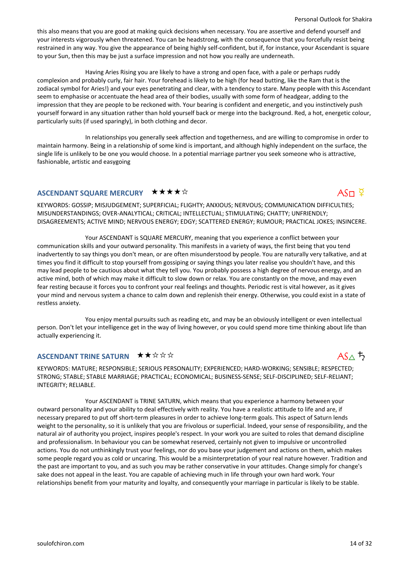$AS<sub>II</sub>$   $\frac{8}{7}$ 

 $AS \wedge \overline{B}$ 

this also means that you are good at making quick decisions when necessary. You are assertive and defend yourself and your interests vigorously when threatened. You can be headstrong, with the consequence that you forcefully resist being restrained in any way. You give the appearance of being highly self-confident, but if, for instance, your Ascendant is square to your Sun, then this may be just a surface impression and not how you really are underneath.

Having Aries Rising you are likely to have a strong and open face, with a pale or perhaps ruddy complexion and probably curly, fair hair. Your forehead is likely to be high (for head butting, like the Ram that is the zodiacal symbol for Aries!) and your eyes penetrating and clear, with a tendency to stare. Many people with this Ascendant seem to emphasise or accentuate the head area of their bodies, usually with some form of headgear, adding to the impression that they are people to be reckoned with. Your bearing is confident and energetic, and you instinctively push yourself forward in any situation rather than hold yourself back or merge into the background. Red, a hot, energetic colour, particularly suits (if used sparingly), in both clothing and decor.

In relationships you generally seek affection and togetherness, and are willing to compromise in order to maintain harmony. Being in a relationship of some kind is important, and although highly independent on the surface, the single life is unlikely to be one you would choose. In a potential marriage partner you seek someone who is attractive, fashionable, artistic and easygoing

# **ASCENDANT SQUARE MERCURY ★★★★☆**

KEYWORDS: GOSSIP; MISJUDGEMENT; SUPERFICIAL; FLIGHTY; ANXIOUS; NERVOUS; COMMUNICATION DIFFICULTIES; MISUNDERSTANDINGS; OVER-ANALYTICAL; CRITICAL; INTELLECTUAL; STIMULATING; CHATTY; UNFRIENDLY; DISAGREEMENTS; ACTIVE MIND; NERVOUS ENERGY; EDGY; SCATTERED ENERGY; RUMOUR; PRACTICAL JOKES; INSINCERE.

Your ASCENDANT is SQUARE MERCURY, meaning that you experience a conflict between your communication skills and your outward personality. This manifests in a variety of ways, the first being that you tend inadvertently to say things you don't mean, or are often misunderstood by people. You are naturally very talkative, and at times you find it difficult to stop yourself from gossiping or saying things you later realise you shouldn't have, and this may lead people to be cautious about what they tell you. You probably possess a high degree of nervous energy, and an active mind, both of which may make it difficult to slow down or relax. You are constantly on the move, and may even fear resting because it forces you to confront your real feelings and thoughts. Periodic rest is vital however, as it gives your mind and nervous system a chance to calm down and replenish their energy. Otherwise, you could exist in a state of restless anxiety.

You enjoy mental pursuits such as reading etc, and may be an obviously intelligent or even intellectual person. Don't let your intelligence get in the way of living however, or you could spend more time thinking about life than actually experiencing it.

### **ASCENDANT TRINE SATURN** ★★☆☆☆

KEYWORDS: MATURE; RESPONSIBLE; SERIOUS PERSONALITY; EXPERIENCED; HARD-WORKING; SENSIBLE; RESPECTED; STRONG; STABLE; STABLE MARRIAGE; PRACTICAL; ECONOMICAL; BUSINESS-SENSE; SELF-DISCIPLINED; SELF-RELIANT; INTEGRITY; RELIABLE.

Your ASCENDANT is TRINE SATURN, which means that you experience a harmony between your outward personality and your ability to deal effectively with reality. You have a realistic attitude to life and are, if necessary prepared to put off short-term pleasures in order to achieve long-term goals. This aspect of Saturn lends weight to the personality, so it is unlikely that you are frivolous or superficial. Indeed, your sense of responsibility, and the natural air of authority you project, inspires people's respect. In your work you are suited to roles that demand discipline and professionalism. In behaviour you can be somewhat reserved, certainly not given to impulsive or uncontrolled actions. You do not unthinkingly trust your feelings, nor do you base your judgement and actions on them, which makes some people regard you as cold or uncaring. This would be a misinterpretation of your real nature however. Tradition and the past are important to you, and as such you may be rather conservative in your attitudes. Change simply for change's sake does not appeal in the least. You are capable of achieving much in life through your own hard work. Your relationships benefit from your maturity and loyalty, and consequently your marriage in particular is likely to be stable.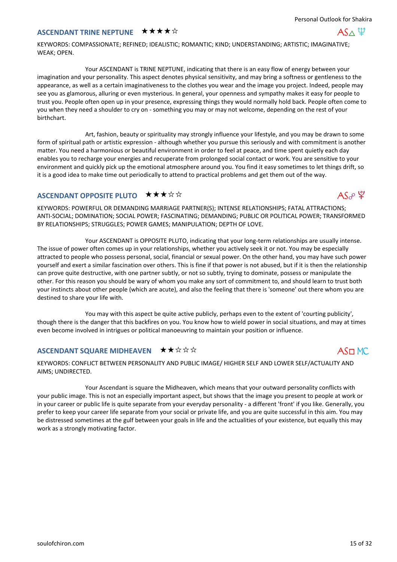$AS \wedge \Psi$ 

### **ASCENDANT TRINE NEPTUNE** ★★★★☆

KEYWORDS: COMPASSIONATE; REFINED; IDEALISTIC; ROMANTIC; KIND; UNDERSTANDING; ARTISTIC; IMAGINATIVE; WEAK; OPEN.

Your ASCENDANT is TRINE NEPTUNE, indicating that there is an easy flow of energy between your imagination and your personality. This aspect denotes physical sensitivity, and may bring a softness or gentleness to the appearance, as well as a certain imaginativeness to the clothes you wear and the image you project. Indeed, people may see you as glamorous, alluring or even mysterious. In general, your openness and sympathy makes it easy for people to trust you. People often open up in your presence, expressing things they would normally hold back. People often come to you when they need a shoulder to cry on - something you may or may not welcome, depending on the rest of your birthchart.

Art, fashion, beauty or spirituality may strongly influence your lifestyle, and you may be drawn to some form of spiritual path or artistic expression - although whether you pursue this seriously and with commitment is another matter. You need a harmonious or beautiful environment in order to feel at peace, and time spent quietly each day enables you to recharge your energies and recuperate from prolonged social contact or work. You are sensitive to your environment and quickly pick up the emotional atmosphere around you. You find it easy sometimes to let things drift, so it is a good idea to make time out periodically to attend to practical problems and get them out of the way.

# **ASCENDANT OPPOSITE PLUTO** ★★★☆☆

 $AS_{\theta}$   $\varphi$ 

 $AS<sub>II</sub>MC$ 

KEYWORDS: POWERFUL OR DEMANDING MARRIAGE PARTNER(S); INTENSE RELATIONSHIPS; FATAL ATTRACTIONS; ANTI-SOCIAL; DOMINATION; SOCIAL POWER; FASCINATING; DEMANDING; PUBLIC OR POLITICAL POWER; TRANSFORMED BY RELATIONSHIPS; STRUGGLES; POWER GAMES; MANIPULATION; DEPTH OF LOVE.

Your ASCENDANT is OPPOSITE PLUTO, indicating that your long-term relationships are usually intense. The issue of power often comes up in your relationships, whether you actively seek it or not. You may be especially attracted to people who possess personal, social, financial or sexual power. On the other hand, you may have such power yourself and exert a similar fascination over others. This is fine if that power is not abused, but if it is then the relationship can prove quite destructive, with one partner subtly, or not so subtly, trying to dominate, possess or manipulate the other. For this reason you should be wary of whom you make any sort of commitment to, and should learn to trust both your instincts about other people (which are acute), and also the feeling that there is 'someone' out there whom you are destined to share your life with.

You may with this aspect be quite active publicly, perhaps even to the extent of 'courting publicity', though there is the danger that this backfires on you. You know how to wield power in social situations, and may at times even become involved in intrigues or political manoeuvring to maintain your position or influence.

### **ASCENDANT SQUARE MIDHEAVEN** ★★☆☆☆

KEYWORDS: CONFLICT BETWEEN PERSONALITY AND PUBLIC IMAGE/ HIGHER SELF AND LOWER SELF/ACTUALITY AND AIMS; UNDIRECTED.

Your Ascendant is square the Midheaven, which means that your outward personality conflicts with your public image. This is not an especially important aspect, but shows that the image you present to people at work or in your career or public life is quite separate from your everyday personality - a different 'front' if you like. Generally, you prefer to keep your career life separate from your social or private life, and you are quite successful in this aim. You may be distressed sometimes at the gulf between your goals in life and the actualities of your existence, but equally this may work as a strongly motivating factor.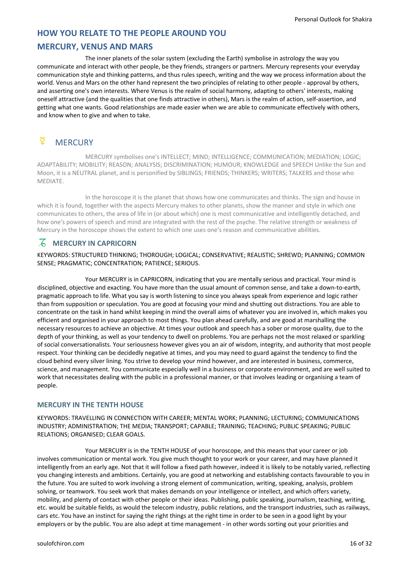### **HOW YOU RELATE TO THE PEOPLE AROUND YOU**

### **MERCURY, VENUS AND MARS**

The inner planets of the solar system (excluding the Earth) symbolise in astrology the way you communicate and interact with other people, be they friends, strangers or partners. Mercury represents your everyday communication style and thinking patterns, and thus rules speech, writing and the way we process information about the world. Venus and Mars on the other hand represent the two principles of relating to other people - approval by others, and asserting one's own interests. Where Venus is the realm of social harmony, adapting to others' interests, making oneself attractive (and the qualities that one finds attractive in others), Mars is the realm of action, self-assertion, and getting what one wants. Good relationships are made easier when we are able to communicate effectively with others, and know when to give and when to take.

#### d **MERCURY**

MERCURY symbolises one's INTELLECT; MIND; INTELLIGENCE; COMMUNICATION; MEDIATION; LOGIC; ADAPTABILITY; MOBILITY; REASON; ANALYSIS; DISCRIMINATION; HUMOUR; KNOWLEDGE and SPEECH Unlike the Sun and Moon, it is a NEUTRAL planet, and is personified by SIBLINGS; FRIENDS; THINKERS; WRITERS; TALKERS and those who MEDIATE.

In the horoscope it is the planet that shows how one communicates and thinks. The sign and house in which it is found, together with the aspects Mercury makes to other planets, show the manner and style in which one communicates to others, the area of life in (or about which) one is most communicative and intelligently detached, and how one's powers of speech and mind are integrated with the rest of the psyche. The relative strength or weakness of Mercury in the horoscope shows the extent to which one uses one's reason and communicative abilities.

#### **MERCURY IN CAPRICORN**  $\mathcal{I}$

KEYWORDS: STRUCTURED THINKING; THOROUGH; LOGICAL; CONSERVATIVE; REALISTIC; SHREWD; PLANNING; COMMON SENSE; PRAGMATIC; CONCENTRATION; PATIENCE; SERIOUS.

Your MERCURY is in CAPRICORN, indicating that you are mentally serious and practical. Your mind is disciplined, objective and exacting. You have more than the usual amount of common sense, and take a down-to-earth, pragmatic approach to life. What you say is worth listening to since you always speak from experience and logic rather than from supposition or speculation. You are good at focusing your mind and shutting out distractions. You are able to concentrate on the task in hand whilst keeping in mind the overall aims of whatever you are involved in, which makes you efficient and organised in your approach to most things. You plan ahead carefully, and are good at marshalling the necessary resources to achieve an objective. At times your outlook and speech has a sober or morose quality, due to the depth of your thinking, as well as your tendency to dwell on problems. You are perhaps not the most relaxed or sparkling of social conversationalists. Your seriousness however gives you an air of wisdom, integrity, and authority that most people respect. Your thinking can be decidedly negative at times, and you may need to guard against the tendency to find the cloud behind every silver lining. You strive to develop your mind however, and are interested in business, commerce, science, and management. You communicate especially well in a business or corporate environment, and are well suited to work that necessitates dealing with the public in a professional manner, or that involves leading or organising a team of people.

### **MERCURY IN THE TENTH HOUSE**

KEYWORDS: TRAVELLING IN CONNECTION WITH CAREER; MENTAL WORK; PLANNING; LECTURING; COMMUNICATIONS INDUSTRY; ADMINISTRATION; THE MEDIA; TRANSPORT; CAPABLE; TRAINING; TEACHING; PUBLIC SPEAKING; PUBLIC RELATIONS; ORGANISED; CLEAR GOALS.

Your MERCURY is in the TENTH HOUSE of your horoscope, and this means that your career or job involves communication or mental work. You give much thought to your work or your career, and may have planned it intelligently from an early age. Not that it will follow a fixed path however, indeed it is likely to be notably varied, reflecting you changing interests and ambitions. Certainly, you are good at networking and establishing contacts favourable to you in the future. You are suited to work involving a strong element of communication, writing, speaking, analysis, problem solving, or teamwork. You seek work that makes demands on your intelligence or intellect, and which offers variety, mobility, and plenty of contact with other people or their ideas. Publishing, public speaking, journalism, teaching, writing, etc. would be suitable fields, as would the telecom industry, public relations, and the transport industries, such as railways, cars etc. You have an instinct for saying the right things at the right time in order to be seen in a good light by your employers or by the public. You are also adept at time management - in other words sorting out your priorities and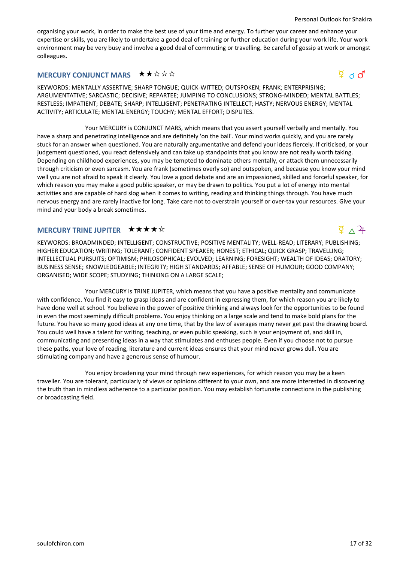$\widetilde{P}$  d  $\widetilde{Q}$ 

 $\frac{8}{4}$   $\wedge$   $\frac{2}{4}$ 

organising your work, in order to make the best use of your time and energy. To further your career and enhance your expertise or skills, you are likely to undertake a good deal of training or further education during your work life. Your work environment may be very busy and involve a good deal of commuting or travelling. Be careful of gossip at work or amongst colleagues.

### **MERCURY CONJUNCT MARS** ★★☆☆☆

KEYWORDS: MENTALLY ASSERTIVE; SHARP TONGUE; QUICK-WITTED; OUTSPOKEN; FRANK; ENTERPRISING; ARGUMENTATIVE; SARCASTIC; DECISIVE; REPARTEE; JUMPING TO CONCLUSIONS; STRONG-MINDED; MENTAL BATTLES; RESTLESS; IMPATIENT; DEBATE; SHARP; INTELLIGENT; PENETRATING INTELLECT; HASTY; NERVOUS ENERGY; MENTAL ACTIVITY; ARTICULATE; MENTAL ENERGY; TOUCHY; MENTAL EFFORT; DISPUTES.

Your MERCURY is CONJUNCT MARS, which means that you assert yourself verbally and mentally. You have a sharp and penetrating intelligence and are definitely 'on the ball'. Your mind works quickly, and you are rarely stuck for an answer when questioned. You are naturally argumentative and defend your ideas fiercely. If criticised, or your judgement questioned, you react defensively and can take up standpoints that you know are not really worth taking. Depending on childhood experiences, you may be tempted to dominate others mentally, or attack them unnecessarily through criticism or even sarcasm. You are frank (sometimes overly so) and outspoken, and because you know your mind well you are not afraid to speak it clearly. You love a good debate and are an impassioned, skilled and forceful speaker, for which reason you may make a good public speaker, or may be drawn to politics. You put a lot of energy into mental activities and are capable of hard slog when it comes to writing, reading and thinking things through. You have much nervous energy and are rarely inactive for long. Take care not to overstrain yourself or over-tax your resources. Give your mind and your body a break sometimes.

### **MERCURY TRINE JUPITER** ★★★★☆

KEYWORDS: BROADMINDED; INTELLIGENT; CONSTRUCTIVE; POSITIVE MENTALITY; WELL-READ; LITERARY; PUBLISHING; HIGHER EDUCATION; WRITING; TOLERANT; CONFIDENT SPEAKER; HONEST; ETHICAL; QUICK GRASP; TRAVELLING; INTELLECTUAL PURSUITS; OPTIMISM; PHILOSOPHICAL; EVOLVED; LEARNING; FORESIGHT; WEALTH OF IDEAS; ORATORY; BUSINESS SENSE; KNOWLEDGEABLE; INTEGRITY; HIGH STANDARDS; AFFABLE; SENSE OF HUMOUR; GOOD COMPANY; ORGANISED; WIDE SCOPE; STUDYING; THINKING ON A LARGE SCALE;

Your MERCURY is TRINE JUPITER, which means that you have a positive mentality and communicate with confidence. You find it easy to grasp ideas and are confident in expressing them, for which reason you are likely to have done well at school. You believe in the power of positive thinking and always look for the opportunities to be found in even the most seemingly difficult problems. You enjoy thinking on a large scale and tend to make bold plans for the future. You have so many good ideas at any one time, that by the law of averages many never get past the drawing board. You could well have a talent for writing, teaching, or even public speaking, such is your enjoyment of, and skill in, communicating and presenting ideas in a way that stimulates and enthuses people. Even if you choose not to pursue these paths, your love of reading, literature and current ideas ensures that your mind never grows dull. You are stimulating company and have a generous sense of humour.

You enjoy broadening your mind through new experiences, for which reason you may be a keen traveller. You are tolerant, particularly of views or opinions different to your own, and are more interested in discovering the truth than in mindless adherence to a particular position. You may establish fortunate connections in the publishing or broadcasting field.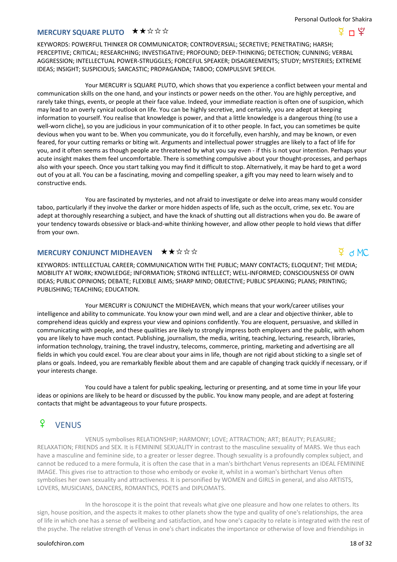$\mathfrak{D} \cap \mathfrak{L}$ 

 $\widetilde{P}$  a MC

### **MERCURY SQUARE PLUTO** ★★☆☆☆

KEYWORDS: POWERFUL THINKER OR COMMUNICATOR; CONTROVERSIAL; SECRETIVE; PENETRATING; HARSH; PERCEPTIVE; CRITICAL; RESEARCHING; INVESTIGATIVE; PROFOUND; DEEP-THINKING; DETECTION; CUNNING; VERBAL AGGRESSION; INTELLECTUAL POWER-STRUGGLES; FORCEFUL SPEAKER; DISAGREEMENTS; STUDY; MYSTERIES; EXTREME IDEAS; INSIGHT; SUSPICIOUS; SARCASTIC; PROPAGANDA; TABOO; COMPULSIVE SPEECH.

Your MERCURY is SQUARE PLUTO, which shows that you experience a conflict between your mental and communication skills on the one hand, and your instincts or power needs on the other. You are highly perceptive, and rarely take things, events, or people at their face value. Indeed, your immediate reaction is often one of suspicion, which may lead to an overly cynical outlook on life. You can be highly secretive, and certainly, you are adept at keeping information to yourself. You realise that knowledge is power, and that a little knowledge is a dangerous thing (to use a well-worn cliche), so you are judicious in your communication of it to other people. In fact, you can sometimes be quite devious when you want to be. When you communicate, you do it forcefully, even harshly, and may be known, or even feared, for your cutting remarks or biting wit. Arguments and intellectual power struggles are likely to a fact of life for you, and it often seems as though people are threatened by what you say even - if this is not your intention. Perhaps your acute insight makes them feel uncomfortable. There is something compulsive about your thought-processes, and perhaps also with your speech. Once you start talking you may find it difficult to stop. Alternatively, it may be hard to get a word out of you at all. You can be a fascinating, moving and compelling speaker, a gift you may need to learn wisely and to constructive ends.

You are fascinated by mysteries, and not afraid to investigate or delve into areas many would consider taboo, particularly if they involve the darker or more hidden aspects of life, such as the occult, crime, sex etc. You are adept at thoroughly researching a subject, and have the knack of shutting out all distractions when you do. Be aware of your tendency towards obsessive or black-and-white thinking however, and allow other people to hold views that differ from your own.

### **MERCURY CONJUNCT MIDHEAVEN** ★★☆☆☆

KEYWORDS: INTELLECTUAL CAREER; COMMUNICATION WITH THE PUBLIC; MANY CONTACTS; ELOQUENT; THE MEDIA; MOBILITY AT WORK; KNOWLEDGE; INFORMATION; STRONG INTELLECT; WELL-INFORMED; CONSCIOUSNESS OF OWN IDEAS; PUBLIC OPINIONS; DEBATE; FLEXIBLE AIMS; SHARP MIND; OBJECTIVE; PUBLIC SPEAKING; PLANS; PRINTING; PUBLISHING; TEACHING; EDUCATION.

Your MERCURY is CONJUNCT the MIDHEAVEN, which means that your work/career utilises your intelligence and ability to communicate. You know your own mind well, and are a clear and objective thinker, able to comprehend ideas quickly and express your view and opinions confidently. You are eloquent, persuasive, and skilled in communicating with people, and these qualities are likely to strongly impress both employers and the public, with whom you are likely to have much contact. Publishing, journalism, the media, writing, teaching, lecturing, research, libraries, information technology, training, the travel industry, telecoms, commerce, printing, marketing and advertising are all fields in which you could excel. You are clear about your aims in life, though are not rigid about sticking to a single set of plans or goals. Indeed, you are remarkably flexible about them and are capable of changing track quickly if necessary, or if your interests change.

You could have a talent for public speaking, lecturing or presenting, and at some time in your life your ideas or opinions are likely to be heard or discussed by the public. You know many people, and are adept at fostering contacts that might be advantageous to your future prospects.

#### $\mathbf{Q}$ **VENUS**

VENUS symbolises RELATIONSHIP; HARMONY; LOVE; ATTRACTION; ART; BEAUTY; PLEASURE; RELAXATION; FRIENDS and SEX. It is FEMININE SEXUALITY in contrast to the masculine sexuality of MARS. We thus each have a masculine and feminine side, to a greater or lesser degree. Though sexuality is a profoundly complex subject, and cannot be reduced to a mere formula, it is often the case that in a man's birthchart Venus represents an IDEAL FEMININE IMAGE. This gives rise to attraction to those who embody or evoke it, whilst in a woman's birthchart Venus often symbolises her own sexuality and attractiveness. It is personified by WOMEN and GIRLS in general, and also ARTISTS, LOVERS, MUSICIANS, DANCERS, ROMANTICS, POETS and DIPLOMATS.

In the horoscope it is the point that reveals what give one pleasure and how one relates to others. Its sign, house position, and the aspects it makes to other planets show the type and quality of one's relationships, the area of life in which one has a sense of wellbeing and satisfaction, and how one's capacity to relate is integrated with the rest of the psyche. The relative strength of Venus in one's chart indicates the importance or otherwise of love and friendships in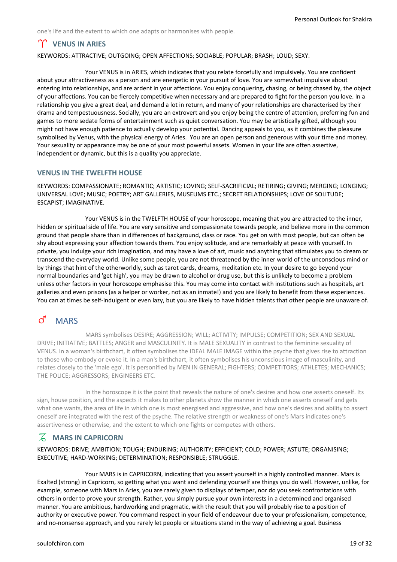one's life and the extent to which one adapts or harmonises with people.

# **VENUS IN ARIES** 1

KEYWORDS: ATTRACTIVE; OUTGOING; OPEN AFFECTIONS; SOCIABLE; POPULAR; BRASH; LOUD; SEXY.

Your VENUS is in ARIES, which indicates that you relate forcefully and impulsively. You are confident about your attractiveness as a person and are energetic in your pursuit of love. You are somewhat impulsive about entering into relationships, and are ardent in your affections. You enjoy conquering, chasing, or being chased by, the object of your affections. You can be fiercely competitive when necessary and are prepared to fight for the person you love. In a relationship you give a great deal, and demand a lot in return, and many of your relationships are characterised by their drama and tempestuousness. Socially, you are an extrovert and you enjoy being the centre of attention, preferring fun and games to more sedate forms of entertainment such as quiet conversation. You may be artistically gifted, although you might not have enough patience to actually develop your potential. Dancing appeals to you, as it combines the pleasure symbolised by Venus, with the physical energy of Aries. You are an open person and generous with your time and money. Your sexuality or appearance may be one of your most powerful assets. Women in your life are often assertive, independent or dynamic, but this is a quality you appreciate.

### **VENUS IN THE TWELFTH HOUSE**

KEYWORDS: COMPASSIONATE; ROMANTIC; ARTISTIC; LOVING; SELF-SACRIFICIAL; RETIRING; GIVING; MERGING; LONGING; UNIVERSAL LOVE; MUSIC; POETRY; ART GALLERIES, MUSEUMS ETC.; SECRET RELATIONSHIPS; LOVE OF SOLITUDE; ESCAPIST; IMAGINATIVE.

Your VENUS is in the TWELFTH HOUSE of your horoscope, meaning that you are attracted to the inner, hidden or spiritual side of life. You are very sensitive and compassionate towards people, and believe more in the common ground that people share than in differences of background, class or race. You get on with most people, but can often be shy about expressing your affection towards them. You enjoy solitude, and are remarkably at peace with yourself. In private, you indulge your rich imagination, and may have a love of art, music and anything that stimulates you to dream or transcend the everyday world. Unlike some people, you are not threatened by the inner world of the unconscious mind or by things that hint of the otherworldly, such as tarot cards, dreams, meditation etc. In your desire to go beyond your normal boundaries and 'get high', you may be drawn to alcohol or drug use, but this is unlikely to become a problem unless other factors in your horoscope emphasise this. You may come into contact with institutions such as hospitals, art galleries and even prisons (as a helper or worker, not as an inmate!) and you are likely to benefit from these experiences. You can at times be self-indulgent or even lazy, but you are likely to have hidden talents that other people are unaware of.

#### $\vec{\alpha}$ **MARS**

MARS symbolises DESIRE; AGGRESSION; WILL; ACTIVITY; IMPULSE; COMPETITION; SEX AND SEXUAL DRIVE; INITIATIVE; BATTLES; ANGER and MASCULINITY. It is MALE SEXUALITY in contrast to the feminine sexuality of VENUS. In a woman's birthchart, it often symbolises the IDEAL MALE IMAGE within the psyche that gives rise to attraction to those who embody or evoke it. In a man's birthchart, it often symbolises his unconscious image of masculinity, and relates closely to the 'male ego'. It is personified by MEN IN GENERAL; FIGHTERS; COMPETITORS; ATHLETES; MECHANICS; THE POLICE; AGGRESSORS; ENGINEERS ETC.

In the horoscope it is the point that reveals the nature of one's desires and how one asserts oneself. Its sign, house position, and the aspects it makes to other planets show the manner in which one asserts oneself and gets what one wants, the area of life in which one is most energised and aggressive, and how one's desires and ability to assert oneself are integrated with the rest of the psyche. The relative strength or weakness of one's Mars indicates one's assertiveness or otherwise, and the extent to which one fights or competes with others.

#### **MARS IN CAPRICORN**  $\mathcal{F}$

KEYWORDS: DRIVE; AMBITION; TOUGH; ENDURING; AUTHORITY; EFFICIENT; COLD; POWER; ASTUTE; ORGANISING; EXECUTIVE; HARD-WORKING; DETERMINATION; RESPONSIBLE; STRUGGLE.

Your MARS is in CAPRICORN, indicating that you assert yourself in a highly controlled manner. Mars is Exalted (strong) in Capricorn, so getting what you want and defending yourself are things you do well. However, unlike, for example, someone with Mars in Aries, you are rarely given to displays of temper, nor do you seek confrontations with others in order to prove your strength. Rather, you simply pursue your own interests in a determined and organised manner. You are ambitious, hardworking and pragmatic, with the result that you will probably rise to a position of authority or executive power. You command respect in your field of endeavour due to your professionalism, competence, and no-nonsense approach, and you rarely let people or situations stand in the way of achieving a goal. Business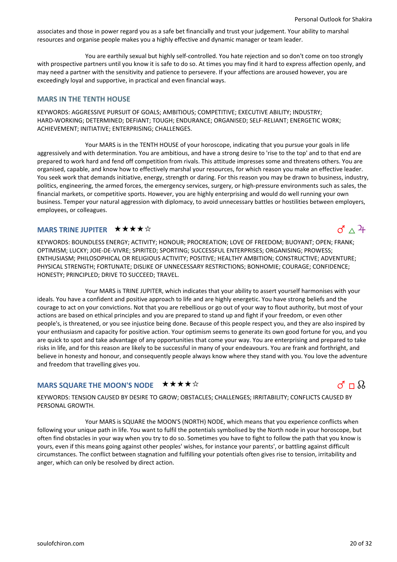$d^2 \wedge 4$ 

 $\sigma$  n  $\Omega$ 

associates and those in power regard you as a safe bet financially and trust your judgement. Your ability to marshal resources and organise people makes you a highly effective and dynamic manager or team leader.

You are earthily sexual but highly self-controlled. You hate rejection and so don't come on too strongly with prospective partners until you know it is safe to do so. At times you may find it hard to express affection openly, and may need a partner with the sensitivity and patience to persevere. If your affections are aroused however, you are exceedingly loyal and supportive, in practical and even financial ways.

### **MARS IN THE TENTH HOUSE**

KEYWORDS: AGGRESSIVE PURSUIT OF GOALS; AMBITIOUS; COMPETITIVE; EXECUTIVE ABILITY; INDUSTRY; HARD-WORKING; DETERMINED; DEFIANT; TOUGH; ENDURANCE; ORGANISED; SELF-RELIANT; ENERGETIC WORK; ACHIEVEMENT; INITIATIVE; ENTERPRISING; CHALLENGES.

Your MARS is in the TENTH HOUSE of your horoscope, indicating that you pursue your goals in life aggressively and with determination. You are ambitious, and have a strong desire to 'rise to the top' and to that end are prepared to work hard and fend off competition from rivals. This attitude impresses some and threatens others. You are organised, capable, and know how to effectively marshal your resources, for which reason you make an effective leader. You seek work that demands initiative, energy, strength or daring. For this reason you may be drawn to business, industry, politics, engineering, the armed forces, the emergency services, surgery, or high-pressure environments such as sales, the financial markets, or competitive sports. However, you are highly enterprising and would do well running your own business. Temper your natural aggression with diplomacy, to avoid unnecessary battles or hostilities between employers, employees, or colleagues.

### **MARS TRINE JUPITER** ★★★★☆

KEYWORDS: BOUNDLESS ENERGY; ACTIVITY; HONOUR; PROCREATION; LOVE OF FREEDOM; BUOYANT; OPEN; FRANK; OPTIMISM; LUCKY; JOIE-DE-VIVRE; SPIRITED; SPORTING; SUCCESSFUL ENTERPRISES; ORGANISING; PROWESS; ENTHUSIASM; PHILOSOPHICAL OR RELIGIOUS ACTIVITY; POSITIVE; HEALTHY AMBITION; CONSTRUCTIVE; ADVENTURE; PHYSICAL STRENGTH; FORTUNATE; DISLIKE OF UNNECESSARY RESTRICTIONS; BONHOMIE; COURAGE; CONFIDENCE; HONESTY; PRINCIPLED; DRIVE TO SUCCEED; TRAVEL.

Your MARS is TRINE JUPITER, which indicates that your ability to assert yourself harmonises with your ideals. You have a confident and positive approach to life and are highly energetic. You have strong beliefs and the courage to act on your convictions. Not that you are rebellious or go out of your way to flout authority, but most of your actions are based on ethical principles and you are prepared to stand up and fight if your freedom, or even other people's, is threatened, or you see injustice being done. Because of this people respect you, and they are also inspired by your enthusiasm and capacity for positive action. Your optimism seems to generate its own good fortune for you, and you are quick to spot and take advantage of any opportunities that come your way. You are enterprising and prepared to take risks in life, and for this reason are likely to be successful in many of your endeavours. You are frank and forthright, and believe in honesty and honour, and consequently people always know where they stand with you. You love the adventure and freedom that travelling gives you.

### **MARS SQUARE THE MOON'S NODE** ★★★★☆

KEYWORDS: TENSION CAUSED BY DESIRE TO GROW; OBSTACLES; CHALLENGES; IRRITABILITY; CONFLICTS CAUSED BY PERSONAL GROWTH.

Your MARS is SQUARE the MOON'S (NORTH) NODE, which means that you experience conflicts when following your unique path in life. You want to fulfil the potentials symbolised by the North node in your horoscope, but often find obstacles in your way when you try to do so. Sometimes you have to fight to follow the path that you know is yours, even if this means going against other peoples' wishes, for instance your parents', or battling against difficult circumstances. The conflict between stagnation and fulfilling your potentials often gives rise to tension, irritability and anger, which can only be resolved by direct action.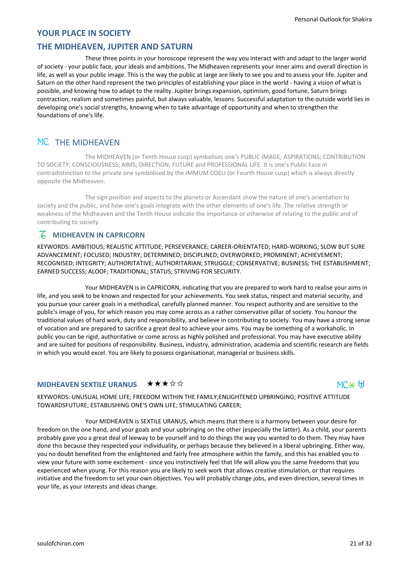### **YOUR PLACE IN SOCIETY**

### **THE MIDHEAVEN, JUPITER AND SATURN**

These three points in your horoscope represent the way you interact with and adapt to the larger world of society - your public face, your ideals and ambitions. The Midheaven represents your inner aims and overall direction in life, as well as your public image. This is the way the public at large are likely to see you and to assess your life. Jupiter and Saturn on the other hand represent the two principles of establishing your place in the world - having a vision of what is possible, and knowing how to adapt to the reality. Jupiter brings expansion, optimism, good fortune, Saturn brings contraction, realism and sometimes painful, but always valuable, lessons. Successful adaptation to the outside world lies in developing one's social strengths, knowing when to take advantage of opportunity and when to strengthen the foundations of one's life.

# MC THE MIDHEAVEN

The MIDHEAVEN (or Tenth House cusp) symbolises one's PUBLIC IMAGE; ASPIRATIONS; CONTRIBUTION TO SOCIETY; CONSCIOUSNESS; AIMS; DIRECTION; FUTURE and PROFESSIONAL LIFE. It is one's Public Face in contradistinction to the private one symbolised by the IMMUM COELI (or Fourth House cusp) which is always directly opposite the Midheaven.

The sign position and aspects to the planets or Ascendant show the nature of one's orientation to society and the public, and how one's goals integrate with the other elements of one's life. The relative strength or weakness of the Midheaven and the Tenth House indicate the importance or otherwise of relating to the public and of contributing to society.

# **MIDHEAVEN IN CAPRICORN** 0

KEYWORDS: AMBITIOUS; REALISTIC ATTITUDE; PERSEVERANCE; CAREER-ORIENTATED; HARD-WORKING; SLOW BUT SURE ADVANCEMENT; FOCUSED; INDUSTRY; DETERMINED; DISCIPLINED; OVERWORKED; PROMINENT; ACHIEVEMENT; RECOGNISED; INTEGRITY; AUTHORITATIVE; AUTHORITARIAN; STRUGGLE; CONSERVATIVE; BUSINESS; THE ESTABLISHMENT; EARNED SUCCESS; ALOOF; TRADITIONAL; STATUS; STRIVING FOR SECURITY.

Your MIDHEAVEN is in CAPRICORN, indicating that you are prepared to work hard to realise your aims in life, and you seek to be known and respected for your achievements. You seek status, respect and material security, and you pursue your career goals in a methodical, carefully planned manner. You respect authority and are sensitive to the public's image of you, for which reason you may come across as a rather conservative pillar of society. You honour the traditional values of hard work, duty and responsibility, and believe in contributing to society. You may have a strong sense of vocation and are prepared to sacrifice a great deal to achieve your aims. You may be something of a workaholic. In public you can be rigid, authoritative or come across as highly polished and professional. You may have executive ability and are suited for positions of responsibility. Business, industry, administration, academia and scientific research are fields in which you would excel. You are likely to possess organisational, managerial or business skills.

# **MIDHEAVEN SEXTILE URANUS** ★★★☆☆

 $MC \times H$ 

KEYWORDS: UNUSUAL HOME LIFE; FREEDOM WITHIN THE FAMILY;ENLIGHTENED UPBRINGING; POSITIVE ATTITUDE TOWARDSFUTURE; ESTABLISHING ONE'S OWN LIFE; STIMULATING CAREER;

Your MIDHEAVEN is SEXTILE URANUS, which means that there is a harmony between your desire for freedom on the one hand, and your goals and your upbringing on the other (especially the latter). As a child, your parents probably gave you a great deal of leeway to be yourself and to do things the way you wanted to do them. They may have done this because they respected your individuality, or perhaps because they believed in a liberal upbringing. Either way, you no doubt benefited from the enlightened and fairly free atmosphere within the family, and this has enabled you to view your future with some excitement - since you instinctively feel that life will allow you the same freedoms that you experienced when young. For this reason you are likely to seek work that allows creative stimulation, or that requires initiative and the freedom to set your own objectives. You will probably change jobs, and even direction, several times in your life, as your interests and ideas change.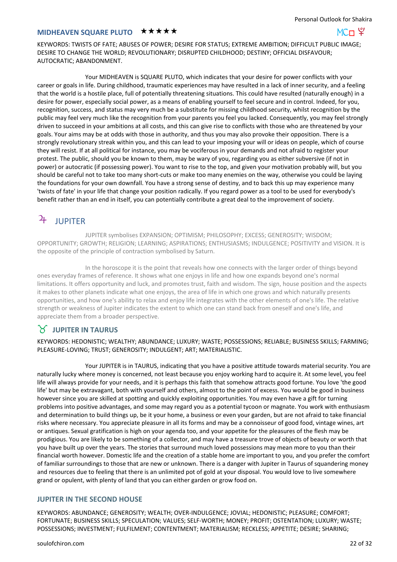$M$ Сп $\mathfrak{L}$ 

### **MIDHEAVEN SQUARE PLUTO** ★★★★★

KEYWORDS: TWISTS OF FATE; ABUSES OF POWER; DESIRE FOR STATUS; EXTREME AMBITION; DIFFICULT PUBLIC IMAGE; DESIRE TO CHANGE THE WORLD; REVOLUTIONARY; DISRUPTED CHILDHOOD; DESTINY; OFFICIAL DISFAVOUR; AUTOCRATIC; ABANDONMENT.

Your MIDHEAVEN is SQUARE PLUTO, which indicates that your desire for power conflicts with your career or goals in life. During childhood, traumatic experiences may have resulted in a lack of inner security, and a feeling that the world is a hostile place, full of potentially threatening situations. This could have resulted (naturally enough) in a desire for power, especially social power, as a means of enabling yourself to feel secure and in control. Indeed, for you, recognition, success, and status may very much be a substitute for missing childhood security, whilst recognition by the public may feel very much like the recognition from your parents you feel you lacked. Consequently, you may feel strongly driven to succeed in your ambitions at all costs, and this can give rise to conflicts with those who are threatened by your goals. Your aims may be at odds with those in authority, and thus you may also provoke their opposition. There is a strongly revolutionary streak within you, and this can lead to your imposing your will or ideas on people, which of course they will resist. If at all political for instance, you may be vociferous in your demands and not afraid to register your protest. The public, should you be known to them, may be wary of you, regarding you as either subversive (if not in power) or autocratic (if possessing power). You want to rise to the top, and given your motivation probably will, but you should be careful not to take too many short-cuts or make too many enemies on the way, otherwise you could be laying the foundations for your own downfall. You have a strong sense of destiny, and to back this up may experience many 'twists of fate' in your life that change your position radically. If you regard power as a tool to be used for everybody's benefit rather than an end in itself, you can potentially contribute a great deal to the improvement of society.

#### $\mathfrak{p}$ JUPITER

JUPITER symbolises EXPANSION; OPTIMISM; PHILOSOPHY; EXCESS; GENEROSITY; WISDOM; OPPORTUNITY; GROWTH; RELIGION; LEARNING; ASPIRATIONS; ENTHUSIASMS; INDULGENCE; POSITIVITY and VISION. It is the opposite of the principle of contraction symbolised by Saturn.

In the horoscope it is the point that reveals how one connects with the larger order of things beyond ones everyday frames of reference. It shows what one enjoys in life and how one expands beyond one's normal limitations. It offers opportunity and luck, and promotes trust, faith and wisdom. The sign, house position and the aspects it makes to other planets indicate what one enjoys, the area of life in which one grows and which naturally presents opportunities, and how one's ability to relax and enjoy life integrates with the other elements of one's life. The relative strength or weakness of Jupiter indicates the extent to which one can stand back from oneself and one's life, and appreciate them from a broader perspective.

# **JUPITER IN TAURUS** 2

KEYWORDS: HEDONISTIC; WEALTHY; ABUNDANCE; LUXURY; WASTE; POSSESSIONS; RELIABLE; BUSINESS SKILLS; FARMING; PLEASURE-LOVING; TRUST; GENEROSITY; INDULGENT; ART; MATERIALISTIC.

Your JUPITER is in TAURUS, indicating that you have a positive attitude towards material security. You are naturally lucky where money is concerned, not least because you enjoy working hard to acquire it. At some level, you feel life will always provide for your needs, and it is perhaps this faith that somehow attracts good fortune. You love 'the good life' but may be extravagant, both with yourself and others, almost to the point of excess. You would be good in business however since you are skilled at spotting and quickly exploiting opportunities. You may even have a gift for turning problems into positive advantages, and some may regard you as a potential tycoon or magnate. You work with enthusiasm and determination to build things up, be it your home, a business or even your garden, but are not afraid to take financial risks where necessary. You appreciate pleasure in all its forms and may be a connoisseur of good food, vintage wines, art or antiques. Sexual gratification is high on your agenda too, and your appetite for the pleasures of the flesh may be prodigious. You are likely to be something of a collector, and may have a treasure trove of objects of beauty or worth that you have built up over the years. The stories that surround much loved possessions may mean more to you than their financial worth however. Domestic life and the creation of a stable home are important to you, and you prefer the comfort of familiar surroundings to those that are new or unknown. There is a danger with Jupiter in Taurus of squandering money and resources due to feeling that there is an unlimited pot of gold at your disposal. You would love to live somewhere grand or opulent, with plenty of land that you can either garden or grow food on.

### **JUPITER IN THE SECOND HOUSE**

KEYWORDS: ABUNDANCE; GENEROSITY; WEALTH; OVER-INDULGENCE; JOVIAL; HEDONISTIC; PLEASURE; COMFORT; FORTUNATE; BUSINESS SKILLS; SPECULATION; VALUES; SELF-WORTH; MONEY; PROFIT; OSTENTATION; LUXURY; WASTE; POSSESSIONS; INVESTMENT; FULFILMENT; CONTENTMENT; MATERIALISM; RECKLESS; APPETITE; DESIRE; SHARING;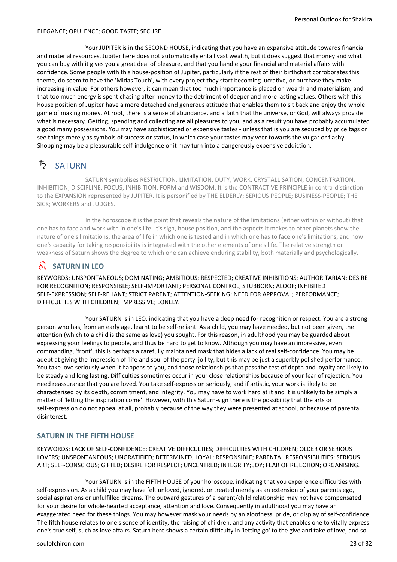#### ELEGANCE; OPULENCE; GOOD TASTE; SECURE.

Your JUPITER is in the SECOND HOUSE, indicating that you have an expansive attitude towards financial and material resources. Jupiter here does not automatically entail vast wealth, but it does suggest that money and what you can buy with it gives you a great deal of pleasure, and that you handle your financial and material affairs with confidence. Some people with this house-position of Jupiter, particularly if the rest of their birthchart corroborates this theme, do seem to have the 'Midas Touch', with every project they start becoming lucrative, or purchase they make increasing in value. For others however, it can mean that too much importance is placed on wealth and materialism, and that too much energy is spent chasing after money to the detriment of deeper and more lasting values. Others with this house position of Jupiter have a more detached and generous attitude that enables them to sit back and enjoy the whole game of making money. At root, there is a sense of abundance, and a faith that the universe, or God, will always provide what is necessary. Getting, spending and collecting are all pleasures to you, and as a result you have probably accumulated a good many possessions. You may have sophisticated or expensive tastes - unless that is you are seduced by price tags or see things merely as symbols of success or status, in which case your tastes may veer towards the vulgar or flashy. Shopping may be a pleasurable self-indulgence or it may turn into a dangerously expensive addiction.

#### ち **SATURN**

SATURN symbolises RESTRICTION; LIMITATION; DUTY; WORK; CRYSTALLISATION; CONCENTRATION; INHIBITION; DISCIPLINE; FOCUS; INHIBITION, FORM and WISDOM. It is the CONTRACTIVE PRINCIPLE in contra-distinction to the EXPANSION represented by JUPITER. It is personified by THE ELDERLY; SERIOUS PEOPLE; BUSINESS-PEOPLE; THE SICK; WORKERS and JUDGES.

In the horoscope it is the point that reveals the nature of the limitations (either within or without) that one has to face and work with in one's life. It's sign, house position, and the aspects it makes to other planets show the nature of one's limitations, the area of life in which one is tested and in which one has to face one's limitations; and how one's capacity for taking responsibility is integrated with the other elements of one's life. The relative strength or weakness of Saturn shows the degree to which one can achieve enduring stability, both materially and psychologically.

# **SATURN IN LEO**

KEYWORDS: UNSPONTANEOUS; DOMINATING; AMBITIOUS; RESPECTED; CREATIVE INHIBITIONS; AUTHORITARIAN; DESIRE FOR RECOGNITION; RESPONSIBLE; SELF-IMPORTANT; PERSONAL CONTROL; STUBBORN; ALOOF; INHIBITED SELF-EXPRESSION; SELF-RELIANT; STRICT PARENT; ATTENTION-SEEKING; NEED FOR APPROVAL; PERFORMANCE; DIFFICULTIES WITH CHILDREN; IMPRESSIVE; LONELY.

Your SATURN is in LEO, indicating that you have a deep need for recognition or respect. You are a strong person who has, from an early age, learnt to be self-reliant. As a child, you may have needed, but not been given, the attention (which to a child is the same as love) you sought. For this reason, in adulthood you may be guarded about expressing your feelings to people, and thus be hard to get to know. Although you may have an impressive, even commanding, 'front', this is perhaps a carefully maintained mask that hides a lack of real self-confidence. You may be adept at giving the impression of 'life and soul of the party' jollity, but this may be just a superbly polished performance. You take love seriously when it happens to you, and those relationships that pass the test of depth and loyalty are likely to be steady and long lasting. Difficulties sometimes occur in your close relationships because of your fear of rejection. You need reassurance that you are loved. You take self-expression seriously, and if artistic, your work is likely to be characterised by its depth, commitment, and integrity. You may have to work hard at it and it is unlikely to be simply a matter of 'letting the inspiration come'. However, with this Saturn-sign there is the possibility that the arts or self-expression do not appeal at all, probably because of the way they were presented at school, or because of parental disinterest.

### **SATURN IN THE FIFTH HOUSE**

KEYWORDS: LACK OF SELF-CONFIDENCE; CREATIVE DIFFICULTIES; DIFFICULTIES WITH CHILDREN; OLDER OR SERIOUS LOVERS; UNSPONTANEOUS; UNGRATIFIED; DETERMINED; LOYAL; RESPONSIBLE; PARENTAL RESPONSIBILITIES; SERIOUS ART; SELF-CONSCIOUS; GIFTED; DESIRE FOR RESPECT; UNCENTRED; INTEGRITY; JOY; FEAR OF REJECTION; ORGANISING.

Your SATURN is in the FIFTH HOUSE of your horoscope, indicating that you experience difficulties with self-expression. As a child you may have felt unloved, ignored, or treated merely as an extension of your parents ego, social aspirations or unfulfilled dreams. The outward gestures of a parent/child relationship may not have compensated for your desire for whole-hearted acceptance, attention and love. Consequently in adulthood you may have an exaggerated need for these things. You may however mask your needs by an aloofness, pride, or display of self-confidence. The fifth house relates to one's sense of identity, the raising of children, and any activity that enables one to vitally express one's true self, such as love affairs. Saturn here shows a certain difficulty in 'letting go' to the give and take of love, and so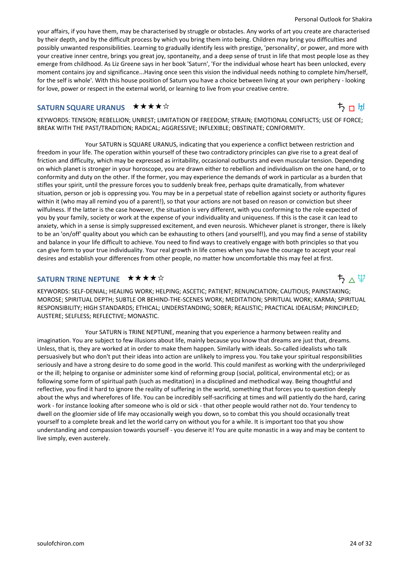ち $n \mathbb{H}$ 

 $\mathfrak{p} \wedge \Psi$ 

your affairs, if you have them, may be characterised by struggle or obstacles. Any works of art you create are characterised by their depth, and by the difficult process by which you bring them into being. Children may bring you difficulties and possibly unwanted responsibilities. Learning to gradually identify less with prestige, 'personality', or power, and more with your creative inner centre, brings you great joy, spontaneity, and a deep sense of trust in life that most people lose as they emerge from childhood. As Liz Greene says in her book 'Saturn', 'For the individual whose heart has been unlocked, every moment contains joy and significance...Having once seen this vision the individual needs nothing to complete him/herself, for the self is whole'. With this house position of Saturn you have a choice between living at your own periphery - looking for love, power or respect in the external world, or learning to live from your creative centre.

# **SATURN SQUARE URANUS** ★★★★☆

KEYWORDS: TENSION; REBELLION; UNREST; LIMITATION OF FREEDOM; STRAIN; EMOTIONAL CONFLICTS; USE OF FORCE; BREAK WITH THE PAST/TRADITION; RADICAL; AGGRESSIVE; INFLEXIBLE; OBSTINATE; CONFORMITY.

Your SATURN is SQUARE URANUS, indicating that you experience a conflict between restriction and freedom in your life. The operation within yourself of these two contradictory principles can give rise to a great deal of friction and difficulty, which may be expressed as irritability, occasional outbursts and even muscular tension. Depending on which planet is stronger in your horoscope, you are drawn either to rebellion and individualism on the one hand, or to conformity and duty on the other. If the former, you may experience the demands of work in particular as a burden that stifles your spirit, until the pressure forces you to suddenly break free, perhaps quite dramatically, from whatever situation, person or job is oppressing you. You may be in a perpetual state of rebellion against society or authority figures within it (who may all remind you of a parent!), so that your actions are not based on reason or conviction but sheer wilfulness. If the latter is the case however, the situation is very different, with you conforming to the role expected of you by your family, society or work at the expense of your individuality and uniqueness. If this is the case it can lead to anxiety, which in a sense is simply suppressed excitement, and even neurosis. Whichever planet is stronger, there is likely to be an 'on/off' quality about you which can be exhausting to others (and yourself!), and you may find a sense of stability and balance in your life difficult to achieve. You need to find ways to creatively engage with both principles so that you can give form to your true individuality. Your real growth in life comes when you have the courage to accept your real desires and establish your differences from other people, no matter how uncomfortable this may feel at first.

### **SATURN TRINE NEPTUNE** ★★★★☆

KEYWORDS: SELF-DENIAL; HEALING WORK; HELPING; ASCETIC; PATIENT; RENUNCIATION; CAUTIOUS; PAINSTAKING; MOROSE; SPIRITUAL DEPTH; SUBTLE OR BEHIND-THE-SCENES WORK; MEDITATION; SPIRITUAL WORK; KARMA; SPIRITUAL RESPONSIBILITY; HIGH STANDARDS; ETHICAL; UNDERSTANDING; SOBER; REALISTIC; PRACTICAL IDEALISM; PRINCIPLED; AUSTERE; SELFLESS; REFLECTIVE; MONASTIC.

Your SATURN is TRINE NEPTUNE, meaning that you experience a harmony between reality and imagination. You are subject to few illusions about life, mainly because you know that dreams are just that, dreams. Unless, that is, they are worked at in order to make them happen. Similarly with ideals. So-called idealists who talk persuasively but who don't put their ideas into action are unlikely to impress you. You take your spiritual responsibilities seriously and have a strong desire to do some good in the world. This could manifest as working with the underprivileged or the ill; helping to organise or administer some kind of reforming group (social, political, environmental etc); or as following some form of spiritual path (such as meditation) in a disciplined and methodical way. Being thoughtful and reflective, you find it hard to ignore the reality of suffering in the world, something that forces you to question deeply about the whys and wherefores of life. You can be incredibly self-sacrificing at times and will patiently do the hard, caring work - for instance looking after someone who is old or sick - that other people would rather not do. Your tendency to dwell on the gloomier side of life may occasionally weigh you down, so to combat this you should occasionally treat yourself to a complete break and let the world carry on without you for a while. It is important too that you show understanding and compassion towards yourself - you deserve it! You are quite monastic in a way and may be content to live simply, even austerely.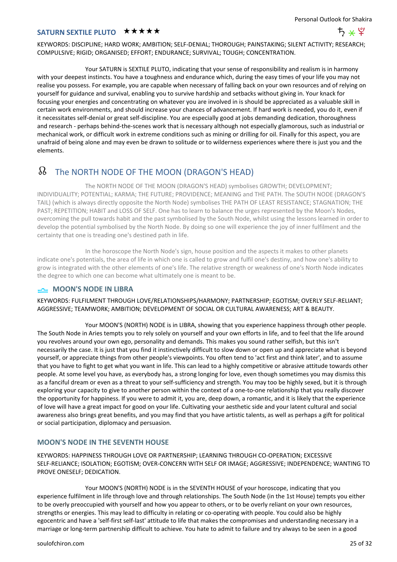$5 * 4$ 

### SATURN SEXTILE PLUTO ★ ★ ★ ★ ★

KEYWORDS: DISCIPLINE; HARD WORK; AMBITION; SELF-DENIAL; THOROUGH; PAINSTAKING; SILENT ACTIVITY; RESEARCH; COMPULSIVE; RIGID; ORGANISED; EFFORT; ENDURANCE; SURVIVAL; TOUGH; CONCENTRATION.

Your SATURN is SEXTILE PLUTO, indicating that your sense of responsibility and realism is in harmony with your deepest instincts. You have a toughness and endurance which, during the easy times of your life you may not realise you possess. For example, you are capable when necessary of falling back on your own resources and of relying on yourself for guidance and survival, enabling you to survive hardship and setbacks without giving in. Your knack for focusing your energies and concentrating on whatever you are involved in is should be appreciated as a valuable skill in certain work environments, and should increase your chances of advancement. If hard work is needed, you do it, even if it necessitates self-denial or great self-discipline. You are especially good at jobs demanding dedication, thoroughness and research - perhaps behind-the-scenes work that is necessary although not especially glamorous, such as industrial or mechanical work, or difficult work in extreme conditions such as mining or drilling for oil. Finally for this aspect, you are unafraid of being alone and may even be drawn to solitude or to wilderness experiences where there is just you and the elements.

#### $\Omega$ The NORTH NODE OF THE MOON (DRAGON'S HEAD)

The NORTH NODE OF THE MOON (DRAGON'S HEAD) symbolises GROWTH; DEVELOPMENT; INDIVIDUALITY; POTENTIAL; KARMA; THE FUTURE; PROVIDENCE; MEANING and THE PATH. The SOUTH NODE (DRAGON'S TAIL) (which is always directly opposite the North Node) symbolises THE PATH OF LEAST RESISTANCE; STAGNATION; THE PAST; REPETITION; HABIT and LOSS OF SELF. One has to learn to balance the urges represented by the Moon's Nodes, overcoming the pull towards habit and the past symbolised by the South Node, whilst using the lessons learned in order to develop the potential symbolised by the North Node. By doing so one will experience the joy of inner fulfilment and the certainty that one is treading one's destined path in life.

In the horoscope the North Node's sign, house position and the aspects it makes to other planets indicate one's potentials, the area of life in which one is called to grow and fulfil one's destiny, and how one's ability to grow is integrated with the other elements of one's life. The relative strength or weakness of one's North Node indicates the degree to which one can become what ultimately one is meant to be.

### **MOON'S NODE IN LIBRA**

KEYWORDS: FULFILMENT THROUGH LOVE/RELATIONSHIPS/HARMONY; PARTNERSHIP; EGOTISM; OVERLY SELF-RELIANT; AGGRESSIVE; TEAMWORK; AMBITION; DEVELOPMENT OF SOCIAL OR CULTURAL AWARENESS; ART & BEAUTY.

Your MOON'S (NORTH) NODE is in LIBRA, showing that you experience happiness through other people. The South Node in Aries tempts you to rely solely on yourself and your own efforts in life, and to feel that the life around you revolves around your own ego, personality and demands. This makes you sound rather selfish, but this isn't necessarily the case. It is just that you find it instinctively difficult to slow down or open up and appreciate what is beyond yourself, or appreciate things from other people's viewpoints. You often tend to 'act first and think later', and to assume that you have to fight to get what you want in life. This can lead to a highly competitive or abrasive attitude towards other people. At some level you have, as everybody has, a strong longing for love, even though sometimes you may dismiss this as a fanciful dream or even as a threat to your self-sufficiency and strength. You may too be highly sexed, but it is through exploring your capacity to give to another person within the context of a one-to-one relationship that you really discover the opportunity for happiness. If you were to admit it, you are, deep down, a romantic, and it is likely that the experience of love will have a great impact for good on your life. Cultivating your aesthetic side and your latent cultural and social awareness also brings great benefits, and you may find that you have artistic talents, as well as perhaps a gift for political or social participation, diplomacy and persuasion.

### **MOON'S NODE IN THE SEVENTH HOUSE**

KEYWORDS: HAPPINESS THROUGH LOVE OR PARTNERSHIP; LEARNING THROUGH CO-OPERATION; EXCESSIVE SELF-RELIANCE; ISOLATION; EGOTISM; OVER-CONCERN WITH SELF OR IMAGE; AGGRESSIVE; INDEPENDENCE; WANTING TO PROVE ONESELF; DEDICATION.

Your MOON'S (NORTH) NODE is in the SEVENTH HOUSE of your horoscope, indicating that you experience fulfilment in life through love and through relationships. The South Node (in the 1st House) tempts you either to be overly preoccupied with yourself and how you appear to others, or to be overly reliant on your own resources, strengths or energies. This may lead to difficulty in relating or co-operating with people. You could also be highly egocentric and have a 'self-first self-last' attitude to life that makes the compromises and understanding necessary in a marriage or long-term partnership difficult to achieve. You hate to admit to failure and try always to be seen in a good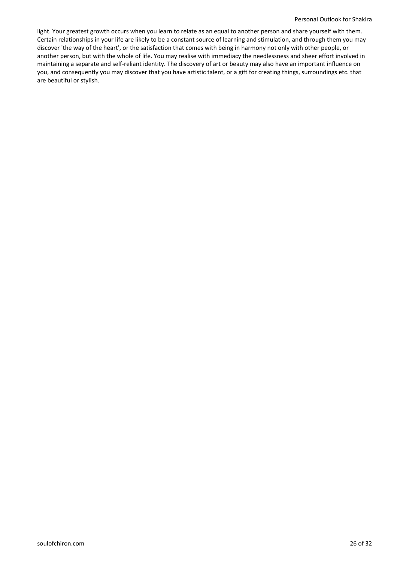light. Your greatest growth occurs when you learn to relate as an equal to another person and share yourself with them. Certain relationships in your life are likely to be a constant source of learning and stimulation, and through them you may discover 'the way of the heart', or the satisfaction that comes with being in harmony not only with other people, or another person, but with the whole of life. You may realise with immediacy the needlessness and sheer effort involved in maintaining a separate and self-reliant identity. The discovery of art or beauty may also have an important influence on you, and consequently you may discover that you have artistic talent, or a gift for creating things, surroundings etc. that are beautiful or stylish.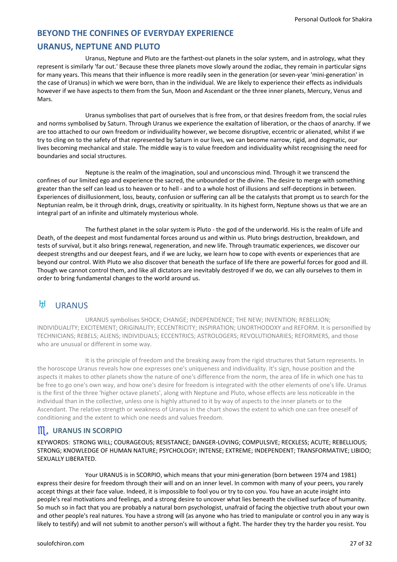# **BEYOND THE CONFINES OF EVERYDAY EXPERIENCE**

### **URANUS, NEPTUNE AND PLUTO**

Uranus, Neptune and Pluto are the farthest-out planets in the solar system, and in astrology, what they represent is similarly 'far out.' Because these three planets move slowly around the zodiac, they remain in particular signs for many years. This means that their influence is more readily seen in the generation (or seven-year 'mini-generation' in the case of Uranus) in which we were born, than in the individual. We are likely to experience their effects as individuals however if we have aspects to them from the Sun, Moon and Ascendant or the three inner planets, Mercury, Venus and Mars.

Uranus symbolises that part of ourselves that is free from, or that desires freedom from, the social rules and norms symbolised by Saturn. Through Uranus we experience the exaltation of liberation, or the chaos of anarchy. If we are too attached to our own freedom or individuality however, we become disruptive, eccentric or alienated, whilst if we try to cling on to the safety of that represented by Saturn in our lives, we can become narrow, rigid, and dogmatic, our lives becoming mechanical and stale. The middle way is to value freedom and individuality whilst recognising the need for boundaries and social structures.

Neptune is the realm of the imagination, soul and unconscious mind. Through it we transcend the confines of our limited ego and experience the sacred, the unbounded or the divine. The desire to merge with something greater than the self can lead us to heaven or to hell - and to a whole host of illusions and self-deceptions in between. Experiences of disillusionment, loss, beauty, confusion or suffering can all be the catalysts that prompt us to search for the Neptunian realm, be it through drink, drugs, creativity or spirituality. In its highest form, Neptune shows us that we are an integral part of an infinite and ultimately mysterious whole.

The furthest planet in the solar system is Pluto - the god of the underworld. His is the realm of Life and Death, of the deepest and most fundamental forces around us and within us. Pluto brings destruction, breakdown, and tests of survival, but it also brings renewal, regeneration, and new life. Through traumatic experiences, we discover our deepest strengths and our deepest fears, and if we are lucky, we learn how to cope with events or experiences that are beyond our control. With Pluto we also discover that beneath the surface of life there are powerful forces for good and ill. Though we cannot control them, and like all dictators are inevitably destroyed if we do, we can ally ourselves to them in order to bring fundamental changes to the world around us.

#### $H$ URANUS

URANUS symbolises SHOCK; CHANGE; INDEPENDENCE; THE NEW; INVENTION; REBELLION; INDIVIDUALITY; EXCITEMENT; ORIGINALITY; ECCENTRICITY; INSPIRATION; UNORTHODOXY and REFORM. It is personified by TECHNICIANS; REBELS; ALIENS; INDIVIDUALS; ECCENTRICS; ASTROLOGERS; REVOLUTIONARIES; REFORMERS, and those who are unusual or different in some way.

It is the principle of freedom and the breaking away from the rigid structures that Saturn represents. In the horoscope Uranus reveals how one expresses one's uniqueness and individuality. It's sign, house position and the aspects it makes to other planets show the nature of one's difference from the norm, the area of life in which one has to be free to go one's own way, and how one's desire for freedom is integrated with the other elements of one's life. Uranus is the first of the three 'higher octave planets', along with Neptune and Pluto, whose effects are less noticeable in the individual than in the collective, unless one is highly attuned to it by way of aspects to the inner planets or to the Ascendant. The relative strength or weakness of Uranus in the chart shows the extent to which one can free oneself of conditioning and the extent to which one needs and values freedom.

# **URANUS IN SCORPIO** 8

KEYWORDS: STRONG WILL; COURAGEOUS; RESISTANCE; DANGER-LOVING; COMPULSIVE; RECKLESS; ACUTE; REBELLIOUS; STRONG; KNOWLEDGE OF HUMAN NATURE; PSYCHOLOGY; INTENSE; EXTREME; INDEPENDENT; TRANSFORMATIVE; LIBIDO; SEXUALLY LIBERATED.

Your URANUS is in SCORPIO, which means that your mini-generation (born between 1974 and 1981) express their desire for freedom through their will and on an inner level. In common with many of your peers, you rarely accept things at their face value. Indeed, it is impossible to fool you or try to con you. You have an acute insight into people's real motivations and feelings, and a strong desire to uncover what lies beneath the civilised surface of humanity. So much so in fact that you are probably a natural born psychologist, unafraid of facing the objective truth about your own and other people's real natures. You have a strong will (as anyone who has tried to manipulate or control you in any way is likely to testify) and will not submit to another person's will without a fight. The harder they try the harder you resist. You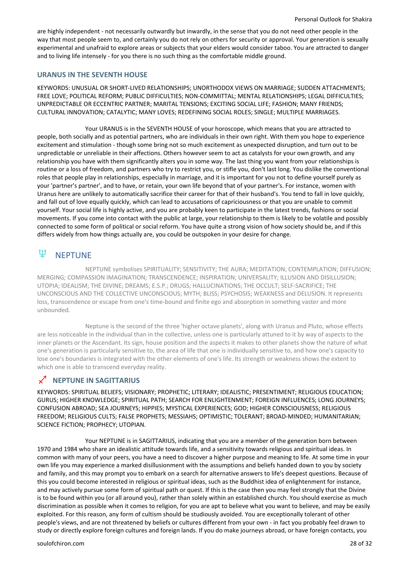are highly independent - not necessarily outwardly but inwardly, in the sense that you do not need other people in the way that most people seem to, and certainly you do not rely on others for security or approval. Your generation is sexually experimental and unafraid to explore areas or subjects that your elders would consider taboo. You are attracted to danger and to living life intensely - for you there is no such thing as the comfortable middle ground.

### **URANUS IN THE SEVENTH HOUSE**

KEYWORDS: UNUSUAL OR SHORT-LIVED RELATIONSHIPS; UNORTHODOX VIEWS ON MARRIAGE; SUDDEN ATTACHMENTS; FREE LOVE; POLITICAL REFORM; PUBLIC DIFFICULTIES; NON-COMMITTAL; MENTAL RELATIONSHIPS; LEGAL DIFFICULTIES; UNPREDICTABLE OR ECCENTRIC PARTNER; MARITAL TENSIONS; EXCITING SOCIAL LIFE; FASHION; MANY FRIENDS; CULTURAL INNOVATION; CATALYTIC; MANY LOVES; REDEFINING SOCIAL ROLES; SINGLE; MULTIPLE MARRIAGES.

Your URANUS is in the SEVENTH HOUSE of your horoscope, which means that you are attracted to people, both socially and as potential partners, who are individuals in their own right. With them you hope to experience excitement and stimulation - though some bring not so much excitement as unexpected disruption, and turn out to be unpredictable or unreliable in their affections. Others however seem to act as catalysts for your own growth, and any relationship you have with them significantly alters you in some way. The last thing you want from your relationships is routine or a loss of freedom, and partners who try to restrict you, or stifle you, don't last long. You dislike the conventional roles that people play in relationships, especially in marriage, and it is important for you not to define yourself purely as your 'partner's partner', and to have, or retain, your own life beyond that of your partner's. For instance, women with Uranus here are unlikely to automatically sacrifice their career for that of their husband's. You tend to fall in love quickly, and fall out of love equally quickly, which can lead to accusations of capriciousness or that you are unable to commit yourself. Your social life is highly active, and you are probably keen to participate in the latest trends, fashions or social movements. If you come into contact with the public at large, your relationship to them is likely to be volatile and possibly connected to some form of political or social reform. You have quite a strong vision of how society should be, and if this differs widely from how things actually are, you could be outspoken in your desire for change.

#### ţφ NEPTUNE

NEPTUNE symbolises SPIRITUALITY; SENSITIVITY; THE AURA; MEDITATION; CONTEMPLATION; DIFFUSION; MERGING; COMPASSION IMAGINATION; TRANSCENDENCE; INSPIRATION; UNIVERSALITY; ILLUSION AND DISILLUSION; UTOPIA; IDEALISM; THE DIVINE; DREAMS; E.S.P.; DRUGS; HALLUCINATIONS; THE OCCULT; SELF-SACRIFICE; THE UNCONSCIOUS AND THE COLLECTIVE UNCONSCIOUS; MYTH; BLISS; PSYCHOSIS; WEAKNESS and DELUSION. It represents loss, transcendence or escape from one's time-bound and finite ego and absorption in something vaster and more unbounded.

Neptune is the second of the three 'higher octave planets', along with Uranus and Pluto, whose effects are less noticeable in the individual than in the collective, unless one is particularly attuned to it by way of aspects to the inner planets or the Ascendant. Its sign, house position and the aspects it makes to other planets show the nature of what one's generation is particularly sensitive to, the area of life that one is individually sensitive to, and how one's capacity to lose one's boundaries is integrated with the other elements of one's life. Its strength or weakness shows the extent to which one is able to transcend everyday reality.

#### **NEPTUNE IN SAGITTARIUS**  $\chi$

KEYWORDS: SPIRITUAL BELIEFS; VISIONARY; PROPHETIC; LITERARY; IDEALISTIC; PRESENTIMENT; RELIGIOUS EDUCATION; GURUS; HIGHER KNOWLEDGE; SPIRITUAL PATH; SEARCH FOR ENLIGHTENMENT; FOREIGN INFLUENCES; LONG JOURNEYS; CONFUSION ABROAD; SEA JOURNEYS; HIPPIES; MYSTICAL EXPERIENCES; GOD; HIGHER CONSCIOUSNESS; RELIGIOUS FREEDOM; RELIGIOUS CULTS; FALSE PROPHETS; MESSIAHS; OPTIMISTIC; TOLERANT; BROAD-MINDED; HUMANITARIAN; SCIENCE FICTION; PROPHECY; UTOPIAN.

Your NEPTUNE is in SAGITTARIUS, indicating that you are a member of the generation born between 1970 and 1984 who share an idealistic attitude towards life, and a sensitivity towards religious and spiritual ideas. In common with many of your peers, you have a need to discover a higher purpose and meaning to life. At some time in your own life you may experience a marked disillusionment with the assumptions and beliefs handed down to you by society and family, and this may prompt you to embark on a search for alternative answers to life's deepest questions. Because of this you could become interested in religious or spiritual ideas, such as the Buddhist idea of enlightenment for instance, and may actively pursue some form of spiritual path or quest. If this is the case then you may feel strongly that the Divine is to be found within you (or all around you), rather than solely within an established church. You should exercise as much discrimination as possible when it comes to religion, for you are apt to believe what you want to believe, and may be easily exploited. For this reason, any form of cultism should be studiously avoided. You are exceptionally tolerant of other people's views, and are not threatened by beliefs or cultures different from your own - in fact you probably feel drawn to study or directly explore foreign cultures and foreign lands. If you do make journeys abroad, or have foreign contacts, you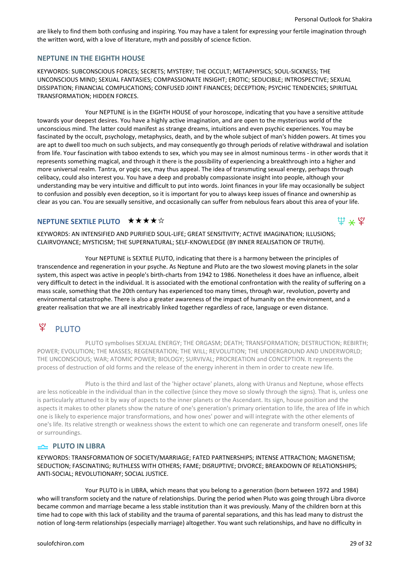are likely to find them both confusing and inspiring. You may have a talent for expressing your fertile imagination through the written word, with a love of literature, myth and possibly of science fiction.

### **NEPTUNE IN THE EIGHTH HOUSE**

KEYWORDS: SUBCONSCIOUS FORCES; SECRETS; MYSTERY; THE OCCULT; METAPHYSICS; SOUL-SICKNESS; THE UNCONSCIOUS MIND; SEXUAL FANTASIES; COMPASSIONATE INSIGHT; EROTIC; SEDUCIBLE; INTROSPECTIVE; SEXUAL DISSIPATION; FINANCIAL COMPLICATIONS; CONFUSED JOINT FINANCES; DECEPTION; PSYCHIC TENDENCIES; SPIRITUAL TRANSFORMATION; HIDDEN FORCES.

Your NEPTUNE is in the EIGHTH HOUSE of your horoscope, indicating that you have a sensitive attitude towards your deepest desires. You have a highly active imagination, and are open to the mysterious world of the unconscious mind. The latter could manifest as strange dreams, intuitions and even psychic experiences. You may be fascinated by the occult, psychology, metaphysics, death, and by the whole subject of man's hidden powers. At times you are apt to dwell too much on such subjects, and may consequently go through periods of relative withdrawal and isolation from life. Your fascination with taboo extends to sex, which you may see in almost numinous terms - in other words that it represents something magical, and through it there is the possibility of experiencing a breakthrough into a higher and more universal realm. Tantra, or yogic sex, may thus appeal. The idea of transmuting sexual energy, perhaps through celibacy, could also interest you. You have a deep and probably compassionate insight into people, although your understanding may be very intuitive and difficult to put into words. Joint finances in your life may occasionally be subject to confusion and possibly even deception, so it is important for you to always keep issues of finance and ownership as clear as you can. You are sexually sensitive, and occasionally can suffer from nebulous fears about this area of your life.

### **NEPTUNE SEXTILE PLUTO** ★★★★☆

 $\updownarrow \,\,\star \,\,\psi$ 

KEYWORDS: AN INTENSIFIED AND PURIFIED SOUL-LIFE; GREAT SENSITIVITY; ACTIVE IMAGINATION; ILLUSIONS; CLAIRVOYANCE; MYSTICISM; THE SUPERNATURAL; SELF-KNOWLEDGE (BY INNER REALISATION OF TRUTH).

Your NEPTUNE is SEXTILE PLUTO, indicating that there is a harmony between the principles of transcendence and regeneration in your psyche. As Neptune and Pluto are the two slowest moving planets in the solar system, this aspect was active in people's birth-charts from 1942 to 1986. Nonetheless it does have an influence, albeit very difficult to detect in the individual. It is associated with the emotional confrontation with the reality of suffering on a mass scale, something that the 20th century has experienced too many times, through war, revolution, poverty and environmental catastrophe. There is also a greater awareness of the impact of humanity on the environment, and a greater realisation that we are all inextricably linked together regardless of race, language or even distance.

#### ত্ৰ PLUTO

PLUTO symbolises SEXUAL ENERGY; THE ORGASM; DEATH; TRANSFORMATION; DESTRUCTION; REBIRTH; POWER; EVOLUTION; THE MASSES; REGENERATION; THE WILL; REVOLUTION; THE UNDERGROUND AND UNDERWORLD; THE UNCONSCIOUS; WAR; ATOMIC POWER; BIOLOGY; SURVIVAL; PROCREATION and CONCEPTION. It represents the process of destruction of old forms and the release of the energy inherent in them in order to create new life.

Pluto is the third and last of the 'higher octave' planets, along with Uranus and Neptune, whose effects are less noticeable in the individual than in the collective (since they move so slowly through the signs). That is, unless one is particularly attuned to it by way of aspects to the inner planets or the Ascendant. Its sign, house position and the aspects it makes to other planets show the nature of one's generation's primary orientation to life, the area of life in which one is likely to experience major transformations, and how ones' power and will integrate with the other elements of one's life. Its relative strength or weakness shows the extent to which one can regenerate and transform oneself, ones life or surroundings.

# **PLUTO IN LIBRA**

KEYWORDS: TRANSFORMATION OF SOCIETY/MARRIAGE; FATED PARTNERSHIPS; INTENSE ATTRACTION; MAGNETISM; SEDUCTION; FASCINATING; RUTHLESS WITH OTHERS; FAME; DISRUPTIVE; DIVORCE; BREAKDOWN OF RELATIONSHIPS; ANTI-SOCIAL; REVOLUTIONARY; SOCIAL JUSTICE.

Your PLUTO is in LIBRA, which means that you belong to a generation (born between 1972 and 1984) who will transform society and the nature of relationships. During the period when Pluto was going through Libra divorce became common and marriage became a less stable institution than it was previously. Many of the children born at this time had to cope with this lack of stability and the trauma of parental separations, and this has lead many to distrust the notion of long-term relationships (especially marriage) altogether. You want such relationships, and have no difficulty in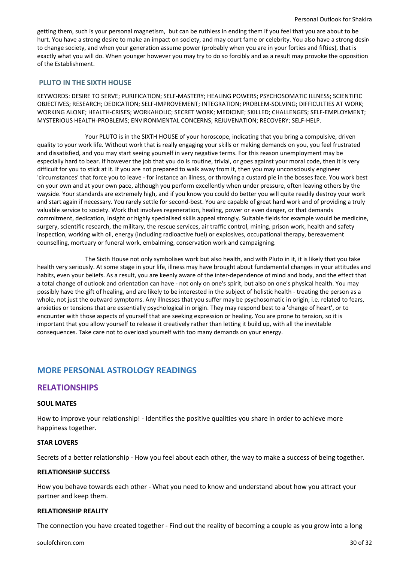getting them, such is your personal magnetism, but can be ruthless in ending them if you feel that you are about to be hurt. You have a strong desire to make an impact on society, and may court fame or celebrity. You also have a strong desire to change society, and when your generation assume power (probably when you are in your forties and fifties), that is exactly what you will do. When younger however you may try to do so forcibly and as a result may provoke the opposition of the Establishment.

### **PLUTO IN THE SIXTH HOUSE**

KEYWORDS: DESIRE TO SERVE; PURIFICATION; SELF-MASTERY; HEALING POWERS; PSYCHOSOMATIC ILLNESS; SCIENTIFIC OBJECTIVES; RESEARCH; DEDICATION; SELF-IMPROVEMENT; INTEGRATION; PROBLEM-SOLVING; DIFFICULTIES AT WORK; WORKING ALONE; HEALTH-CRISES; WORKAHOLIC; SECRET WORK; MEDICINE; SKILLED; CHALLENGES; SELF-EMPLOYMENT; MYSTERIOUS HEALTH-PROBLEMS; ENVIRONMENTAL CONCERNS; REJUVENATION; RECOVERY; SELF-HELP.

Your PLUTO is in the SIXTH HOUSE of your horoscope, indicating that you bring a compulsive, driven quality to your work life. Without work that is really engaging your skills or making demands on you, you feel frustrated and dissatisfied, and you may start seeing yourself in very negative terms. For this reason unemployment may be especially hard to bear. If however the job that you do is routine, trivial, or goes against your moral code, then it is very difficult for you to stick at it. If you are not prepared to walk away from it, then you may unconsciously engineer 'circumstances' that force you to leave - for instance an illness, or throwing a custard pie in the bosses face. You work best on your own and at your own pace, although you perform excellently when under pressure, often leaving others by the wayside. Your standards are extremely high, and if you know you could do better you will quite readily destroy your work and start again if necessary. You rarely settle for second-best. You are capable of great hard work and of providing a truly valuable service to society. Work that involves regeneration, healing, power or even danger, or that demands commitment, dedication, insight or highly specialised skills appeal strongly. Suitable fields for example would be medicine, surgery, scientific research, the military, the rescue services, air traffic control, mining, prison work, health and safety inspection, working with oil, energy (including radioactive fuel) or explosives, occupational therapy, bereavement counselling, mortuary or funeral work, embalming, conservation work and campaigning.

The Sixth House not only symbolises work but also health, and with Pluto in it, it is likely that you take health very seriously. At some stage in your life, illness may have brought about fundamental changes in your attitudes and habits, even your beliefs. As a result, you are keenly aware of the inter-dependence of mind and body, and the effect that a total change of outlook and orientation can have - not only on one's spirit, but also on one's physical health. You may possibly have the gift of healing, and are likely to be interested in the subject of holistic health - treating the person as a whole, not just the outward symptoms. Any illnesses that you suffer may be psychosomatic in origin, i.e. related to fears, anxieties or tensions that are essentially psychological in origin. They may respond best to a 'change of heart', or to encounter with those aspects of yourself that are seeking expression or healing. You are prone to tension, so it is important that you allow yourself to release it creatively rather than letting it build up, with all the inevitable consequences. Take care not to overload yourself with too many demands on your energy.

# **MORE PERSONAL ASTROLOGY READINGS**

### **RELATIONSHIPS**

### **SOUL MATES**

How to improve your relationship! - Identifies the positive qualities you share in order to achieve more happiness together.

### **STAR LOVERS**

Secrets of a better relationship - How you feel about each other, the way to make a success of being together.

### **RELATIONSHIP SUCCESS**

How you behave towards each other - What you need to know and understand about how you attract your partner and keep them.

#### **RELATIONSHIP REALITY**

The connection you have created together - Find out the reality of becoming a couple as you grow into a long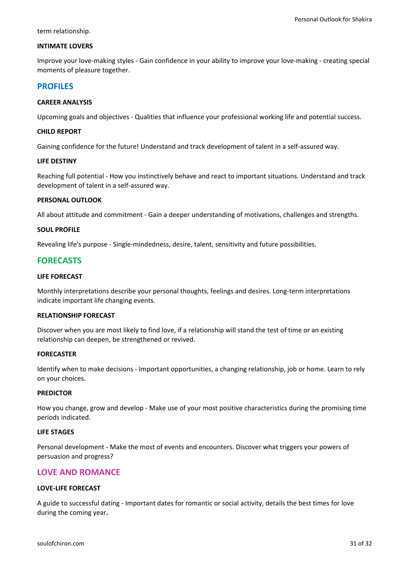term relationship.

### **INTIMATE LOVERS**

Improve your love-making styles - Gain confidence in your ability to improve your love-making - creating special moments of pleasure together.

### **PROFILES**

### **CAREER ANALYSIS**

Upcoming goals and objectives - Qualities that influence your professional working life and potential success.

### **CHILD REPORT**

Gaining confidence for the future! Understand and track development of talent in a self-assured way.

### **LIFE DESTINY**

Reaching full potential - How you instinctively behave and react to important situations. Understand and track development of talent in a self-assured way.

### **PERSONAL OUTLOOK**

All about attitude and commitment - Gain a deeper understanding of motivations, challenges and strengths.

### **SOUL PROFILE**

Revealing life's purpose - Single-mindedness, desire, talent, sensitivity and future possibilities.

### **FORECASTS**

### **LIFE FORECAST**

Monthly interpretations describe your personal thoughts, feelings and desires. Long-term interpretations indicate important life changing events.

### **RELATIONSHIP FORECAST**

Discover when you are most likely to find love, if a relationship will stand the test of time or an existing relationship can deepen, be strengthened or revived.

### **FORECASTER**

Identify when to make decisions - Important opportunities, a changing relationship, job or home. Learn to rely on your choices.

### **PREDICTOR**

How you change, grow and develop - Make use of your most positive characteristics during the promising time periods indicated.

### **LIFE STAGES**

Personal development - Make the most of events and encounters. Discover what triggers your powers of persuasion and progress?

### **LOVE AND ROMANCE**

### **LOVE-LIFE FORECAST**

A guide to successful dating - Important dates for romantic or social activity, details the best times for love during the coming year**.**